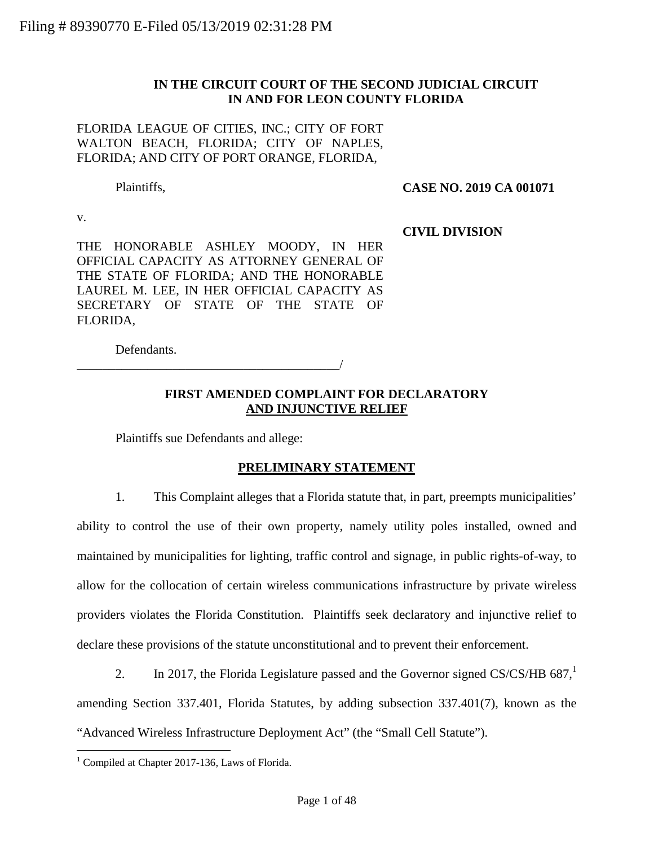### **IN THE CIRCUIT COURT OF THE SECOND JUDICIAL CIRCUIT IN AND FOR LEON COUNTY FLORIDA**

FLORIDA LEAGUE OF CITIES, INC.; CITY OF FORT WALTON BEACH, FLORIDA; CITY OF NAPLES, FLORIDA; AND CITY OF PORT ORANGE, FLORIDA,

Plaintiffs,

**CASE NO. 2019 CA 001071** 

v.

**CIVIL DIVISION**

THE HONORABLE ASHLEY MOODY, IN HER OFFICIAL CAPACITY AS ATTORNEY GENERAL OF THE STATE OF FLORIDA; AND THE HONORABLE LAUREL M. LEE, IN HER OFFICIAL CAPACITY AS SECRETARY OF STATE OF THE STATE OF FLORIDA,

Defendants.

# **FIRST AMENDED COMPLAINT FOR DECLARATORY AND INJUNCTIVE RELIEF**

Plaintiffs sue Defendants and allege:

\_\_\_\_\_\_\_\_\_\_\_\_\_\_\_\_\_\_\_\_\_\_\_\_\_\_\_\_\_\_\_\_\_\_\_\_\_\_\_\_\_/

# **PRELIMINARY STATEMENT**

1. This Complaint alleges that a Florida statute that, in part, preempts municipalities' ability to control the use of their own property, namely utility poles installed, owned and maintained by municipalities for lighting, traffic control and signage, in public rights-of-way, to allow for the collocation of certain wireless communications infrastructure by private wireless providers violates the Florida Constitution. Plaintiffs seek declaratory and injunctive relief to declare these provisions of the statute unconstitutional and to prevent their enforcement.

2. In 2017, the Florida Legislature passed and the Governor signed CS/CS/HB  $687<sup>1</sup>$ amending Section 337.401, Florida Statutes, by adding subsection 337.401(7), known as the "Advanced Wireless Infrastructure Deployment Act" (the "Small Cell Statute").

<sup>&</sup>lt;sup>1</sup> Compiled at Chapter 2017-136, Laws of Florida.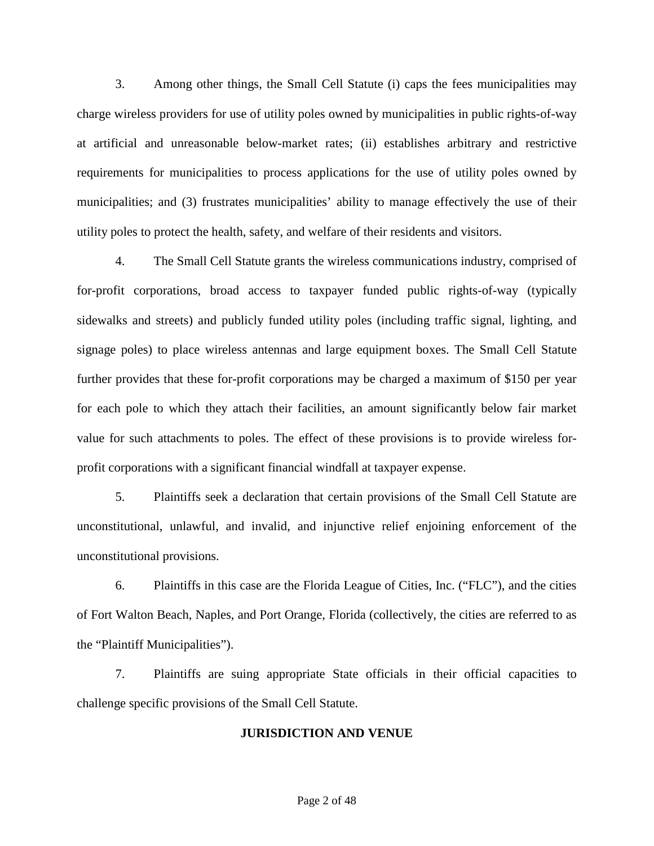3. Among other things, the Small Cell Statute (i) caps the fees municipalities may charge wireless providers for use of utility poles owned by municipalities in public rights-of-way at artificial and unreasonable below-market rates; (ii) establishes arbitrary and restrictive requirements for municipalities to process applications for the use of utility poles owned by municipalities; and (3) frustrates municipalities' ability to manage effectively the use of their utility poles to protect the health, safety, and welfare of their residents and visitors.

4. The Small Cell Statute grants the wireless communications industry, comprised of for-profit corporations, broad access to taxpayer funded public rights-of-way (typically sidewalks and streets) and publicly funded utility poles (including traffic signal, lighting, and signage poles) to place wireless antennas and large equipment boxes. The Small Cell Statute further provides that these for-profit corporations may be charged a maximum of \$150 per year for each pole to which they attach their facilities, an amount significantly below fair market value for such attachments to poles. The effect of these provisions is to provide wireless forprofit corporations with a significant financial windfall at taxpayer expense.

5. Plaintiffs seek a declaration that certain provisions of the Small Cell Statute are unconstitutional, unlawful, and invalid, and injunctive relief enjoining enforcement of the unconstitutional provisions.

6. Plaintiffs in this case are the Florida League of Cities, Inc. ("FLC"), and the cities of Fort Walton Beach, Naples, and Port Orange, Florida (collectively, the cities are referred to as the "Plaintiff Municipalities").

7. Plaintiffs are suing appropriate State officials in their official capacities to challenge specific provisions of the Small Cell Statute.

#### **JURISDICTION AND VENUE**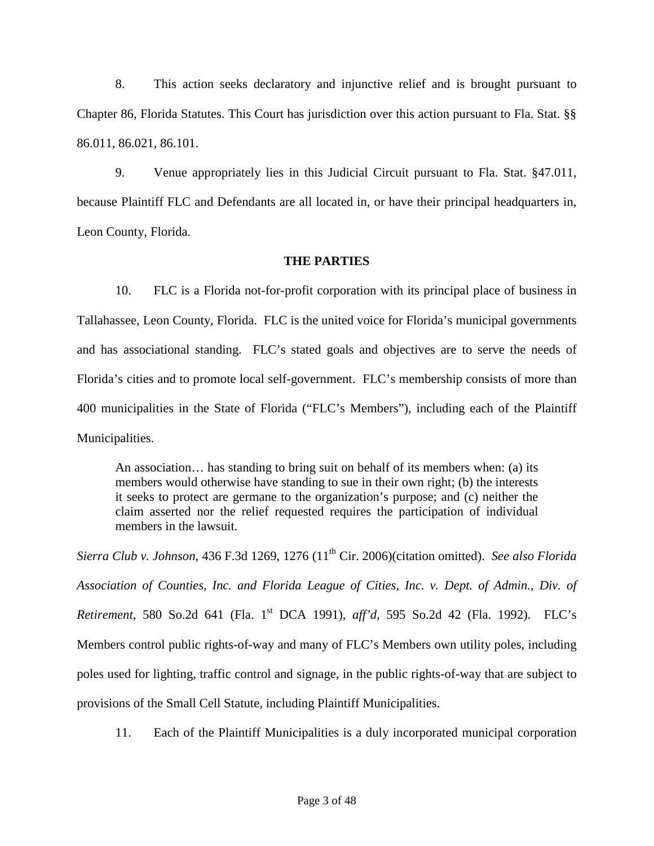8. This action seeks declaratory and injunctive relief and is brought pursuant to Chapter 86, Florida Statutes. This Court has jurisdiction over this action pursuant to Fla. Stat. §§ 86.011, 86.021, 86.101.

9. Venue appropriately lies in this Judicial Circuit pursuant to Fla. Stat. §47.011, because Plaintiff FLC and Defendants are all located in, or have their principal headquarters in, Leon County, Florida.

#### **THE PARTIES**

10. FLC is a Florida not-for-profit corporation with its principal place of business in Tallahassee, Leon County, Florida. FLC is the united voice for Florida's municipal governments and has associational standing. FLC's stated goals and objectives are to serve the needs of Florida's cities and to promote local self-government. FLC's membership consists of more than 400 municipalities in the State of Florida ("FLC's Members"), including each of the Plaintiff Municipalities.

An association… has standing to bring suit on behalf of its members when: (a) its members would otherwise have standing to sue in their own right; (b) the interests it seeks to protect are germane to the organization's purpose; and (c) neither the claim asserted nor the relief requested requires the participation of individual members in the lawsuit.

*Sierra Club v. Johnson*, 436 F.3d 1269, 1276 (11th Cir. 2006)(citation omitted). *See also Florida Association of Counties, Inc. and Florida League of Cities, Inc. v. Dept. of Admin., Div. of Retirement*, 580 So.2d 641 (Fla. 1st DCA 1991), *aff'd*, 595 So.2d 42 (Fla. 1992). FLC's Members control public rights-of-way and many of FLC's Members own utility poles, including poles used for lighting, traffic control and signage, in the public rights-of-way that are subject to provisions of the Small Cell Statute, including Plaintiff Municipalities.

11. Each of the Plaintiff Municipalities is a duly incorporated municipal corporation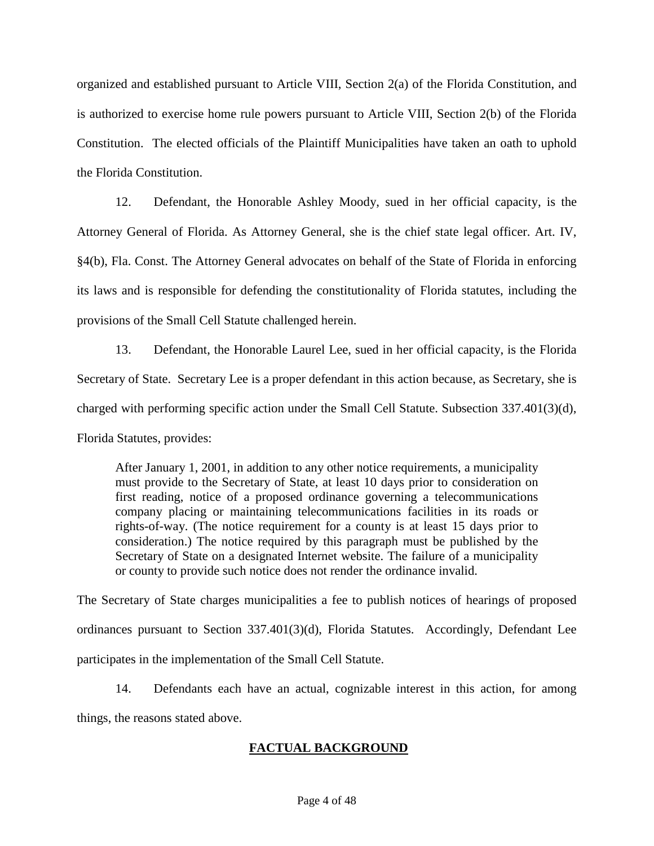organized and established pursuant to Article VIII, Section 2(a) of the Florida Constitution, and is authorized to exercise home rule powers pursuant to Article VIII, Section 2(b) of the Florida Constitution. The elected officials of the Plaintiff Municipalities have taken an oath to uphold the Florida Constitution.

12. Defendant, the Honorable Ashley Moody, sued in her official capacity, is the Attorney General of Florida. As Attorney General, she is the chief state legal officer. Art. IV, §4(b), Fla. Const. The Attorney General advocates on behalf of the State of Florida in enforcing its laws and is responsible for defending the constitutionality of Florida statutes, including the provisions of the Small Cell Statute challenged herein.

13. Defendant, the Honorable Laurel Lee, sued in her official capacity, is the Florida Secretary of State. Secretary Lee is a proper defendant in this action because, as Secretary, she is charged with performing specific action under the Small Cell Statute. Subsection 337.401(3)(d), Florida Statutes, provides:

After January 1, 2001, in addition to any other notice requirements, a municipality must provide to the Secretary of State, at least 10 days prior to consideration on first reading, notice of a proposed ordinance governing a telecommunications company placing or maintaining telecommunications facilities in its roads or rights-of-way. (The notice requirement for a county is at least 15 days prior to consideration.) The notice required by this paragraph must be published by the Secretary of State on a designated Internet website. The failure of a municipality or county to provide such notice does not render the ordinance invalid.

The Secretary of State charges municipalities a fee to publish notices of hearings of proposed ordinances pursuant to Section 337.401(3)(d), Florida Statutes. Accordingly, Defendant Lee participates in the implementation of the Small Cell Statute.

14. Defendants each have an actual, cognizable interest in this action, for among things, the reasons stated above.

# **FACTUAL BACKGROUND**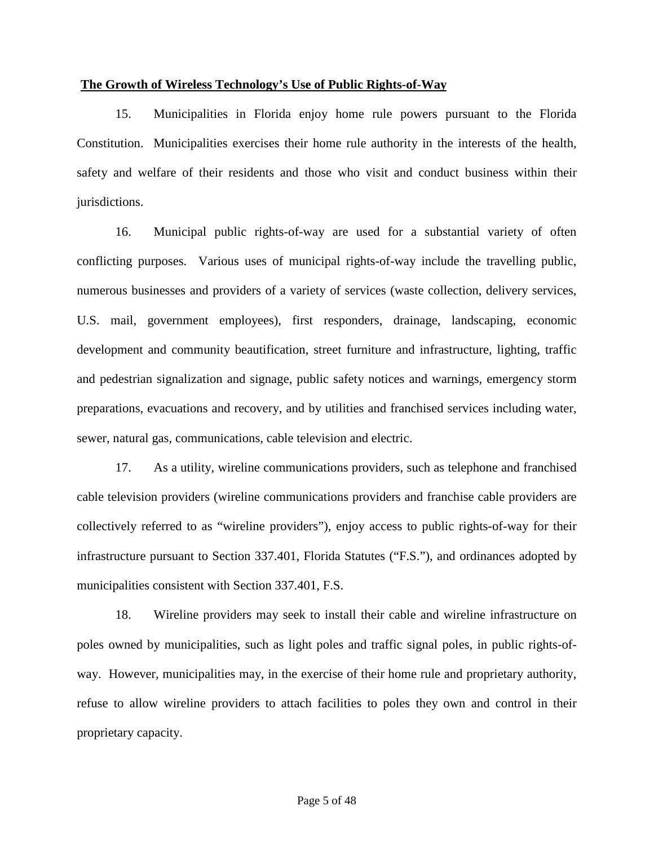#### **The Growth of Wireless Technology's Use of Public Rights-of-Way**

15. Municipalities in Florida enjoy home rule powers pursuant to the Florida Constitution. Municipalities exercises their home rule authority in the interests of the health, safety and welfare of their residents and those who visit and conduct business within their jurisdictions.

16. Municipal public rights-of-way are used for a substantial variety of often conflicting purposes. Various uses of municipal rights-of-way include the travelling public, numerous businesses and providers of a variety of services (waste collection, delivery services, U.S. mail, government employees), first responders, drainage, landscaping, economic development and community beautification, street furniture and infrastructure, lighting, traffic and pedestrian signalization and signage, public safety notices and warnings, emergency storm preparations, evacuations and recovery, and by utilities and franchised services including water, sewer, natural gas, communications, cable television and electric.

17. As a utility, wireline communications providers, such as telephone and franchised cable television providers (wireline communications providers and franchise cable providers are collectively referred to as "wireline providers"), enjoy access to public rights-of-way for their infrastructure pursuant to Section 337.401, Florida Statutes ("F.S."), and ordinances adopted by municipalities consistent with Section 337.401, F.S.

18. Wireline providers may seek to install their cable and wireline infrastructure on poles owned by municipalities, such as light poles and traffic signal poles, in public rights-ofway. However, municipalities may, in the exercise of their home rule and proprietary authority, refuse to allow wireline providers to attach facilities to poles they own and control in their proprietary capacity.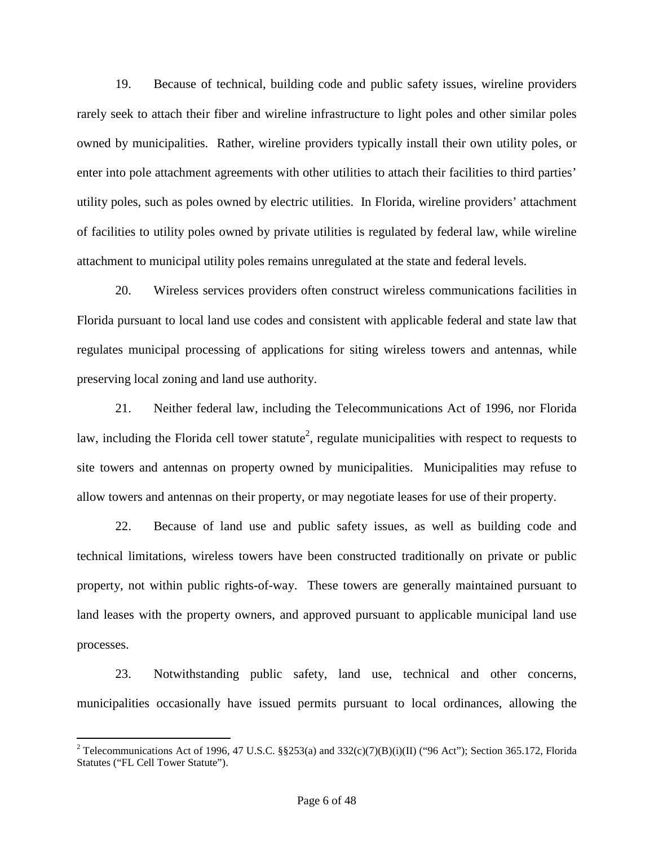19. Because of technical, building code and public safety issues, wireline providers rarely seek to attach their fiber and wireline infrastructure to light poles and other similar poles owned by municipalities. Rather, wireline providers typically install their own utility poles, or enter into pole attachment agreements with other utilities to attach their facilities to third parties' utility poles, such as poles owned by electric utilities. In Florida, wireline providers' attachment of facilities to utility poles owned by private utilities is regulated by federal law, while wireline attachment to municipal utility poles remains unregulated at the state and federal levels.

20. Wireless services providers often construct wireless communications facilities in Florida pursuant to local land use codes and consistent with applicable federal and state law that regulates municipal processing of applications for siting wireless towers and antennas, while preserving local zoning and land use authority.

21. Neither federal law, including the Telecommunications Act of 1996, nor Florida law, including the Florida cell tower statute<sup>2</sup>, regulate municipalities with respect to requests to site towers and antennas on property owned by municipalities. Municipalities may refuse to allow towers and antennas on their property, or may negotiate leases for use of their property.

22. Because of land use and public safety issues, as well as building code and technical limitations, wireless towers have been constructed traditionally on private or public property, not within public rights-of-way. These towers are generally maintained pursuant to land leases with the property owners, and approved pursuant to applicable municipal land use processes.

23. Notwithstanding public safety, land use, technical and other concerns, municipalities occasionally have issued permits pursuant to local ordinances, allowing the

<sup>&</sup>lt;sup>2</sup> Telecommunications Act of 1996, 47 U.S.C. §§253(a) and 332(c)(7)(B)(i)(II) ("96 Act"); Section 365.172, Florida Statutes ("FL Cell Tower Statute").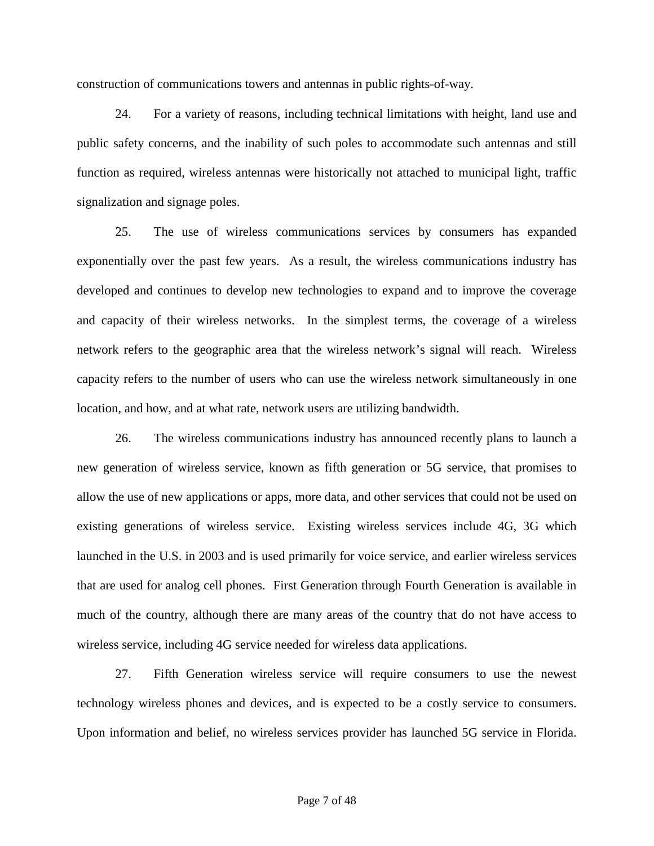construction of communications towers and antennas in public rights-of-way.

24. For a variety of reasons, including technical limitations with height, land use and public safety concerns, and the inability of such poles to accommodate such antennas and still function as required, wireless antennas were historically not attached to municipal light, traffic signalization and signage poles.

25. The use of wireless communications services by consumers has expanded exponentially over the past few years. As a result, the wireless communications industry has developed and continues to develop new technologies to expand and to improve the coverage and capacity of their wireless networks. In the simplest terms, the coverage of a wireless network refers to the geographic area that the wireless network's signal will reach. Wireless capacity refers to the number of users who can use the wireless network simultaneously in one location, and how, and at what rate, network users are utilizing bandwidth.

26. The wireless communications industry has announced recently plans to launch a new generation of wireless service, known as fifth generation or 5G service, that promises to allow the use of new applications or apps, more data, and other services that could not be used on existing generations of wireless service. Existing wireless services include 4G, 3G which launched in the U.S. in 2003 and is used primarily for voice service, and earlier wireless services that are used for analog cell phones. First Generation through Fourth Generation is available in much of the country, although there are many areas of the country that do not have access to wireless service, including 4G service needed for wireless data applications.

27. Fifth Generation wireless service will require consumers to use the newest technology wireless phones and devices, and is expected to be a costly service to consumers. Upon information and belief, no wireless services provider has launched 5G service in Florida.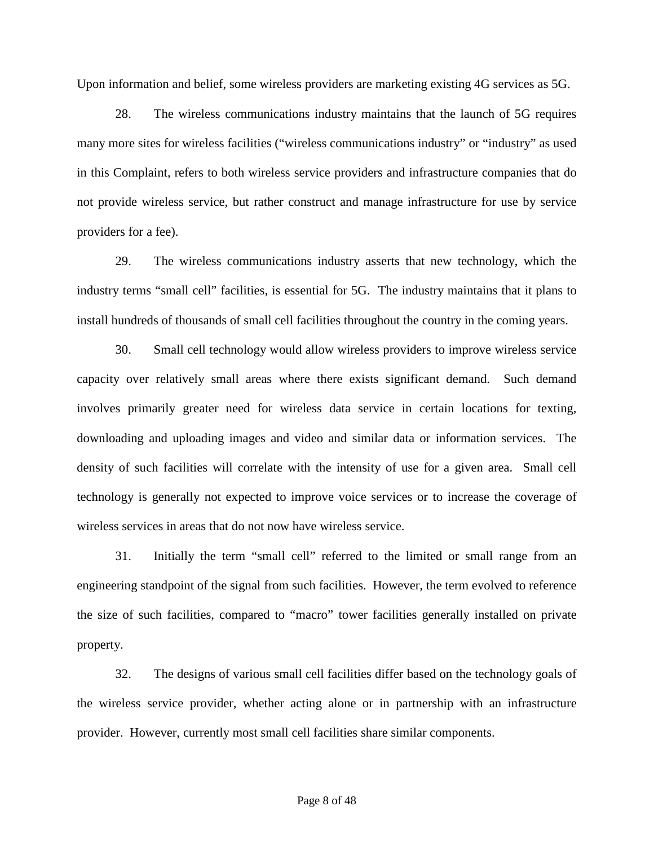Upon information and belief, some wireless providers are marketing existing 4G services as 5G.

28. The wireless communications industry maintains that the launch of 5G requires many more sites for wireless facilities ("wireless communications industry" or "industry" as used in this Complaint, refers to both wireless service providers and infrastructure companies that do not provide wireless service, but rather construct and manage infrastructure for use by service providers for a fee).

29. The wireless communications industry asserts that new technology, which the industry terms "small cell" facilities, is essential for 5G. The industry maintains that it plans to install hundreds of thousands of small cell facilities throughout the country in the coming years.

30. Small cell technology would allow wireless providers to improve wireless service capacity over relatively small areas where there exists significant demand. Such demand involves primarily greater need for wireless data service in certain locations for texting, downloading and uploading images and video and similar data or information services. The density of such facilities will correlate with the intensity of use for a given area. Small cell technology is generally not expected to improve voice services or to increase the coverage of wireless services in areas that do not now have wireless service.

31. Initially the term "small cell" referred to the limited or small range from an engineering standpoint of the signal from such facilities. However, the term evolved to reference the size of such facilities, compared to "macro" tower facilities generally installed on private property.

32. The designs of various small cell facilities differ based on the technology goals of the wireless service provider, whether acting alone or in partnership with an infrastructure provider. However, currently most small cell facilities share similar components.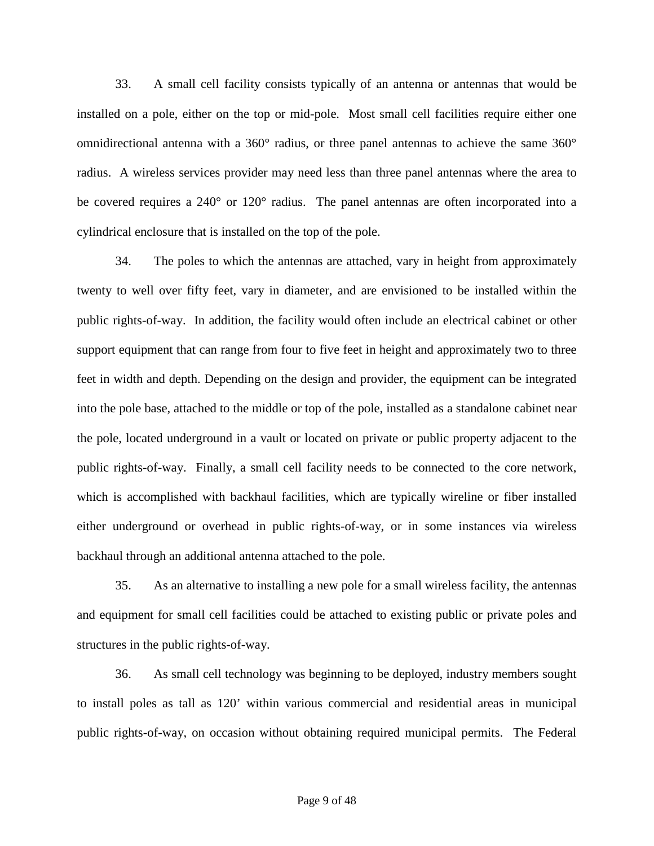33. A small cell facility consists typically of an antenna or antennas that would be installed on a pole, either on the top or mid-pole. Most small cell facilities require either one omnidirectional antenna with a 360° radius, or three panel antennas to achieve the same 360° radius. A wireless services provider may need less than three panel antennas where the area to be covered requires a 240° or 120° radius. The panel antennas are often incorporated into a cylindrical enclosure that is installed on the top of the pole.

34. The poles to which the antennas are attached, vary in height from approximately twenty to well over fifty feet, vary in diameter, and are envisioned to be installed within the public rights-of-way. In addition, the facility would often include an electrical cabinet or other support equipment that can range from four to five feet in height and approximately two to three feet in width and depth. Depending on the design and provider, the equipment can be integrated into the pole base, attached to the middle or top of the pole, installed as a standalone cabinet near the pole, located underground in a vault or located on private or public property adjacent to the public rights-of-way. Finally, a small cell facility needs to be connected to the core network, which is accomplished with backhaul facilities, which are typically wireline or fiber installed either underground or overhead in public rights-of-way, or in some instances via wireless backhaul through an additional antenna attached to the pole.

35. As an alternative to installing a new pole for a small wireless facility, the antennas and equipment for small cell facilities could be attached to existing public or private poles and structures in the public rights-of-way.

36. As small cell technology was beginning to be deployed, industry members sought to install poles as tall as 120' within various commercial and residential areas in municipal public rights-of-way, on occasion without obtaining required municipal permits. The Federal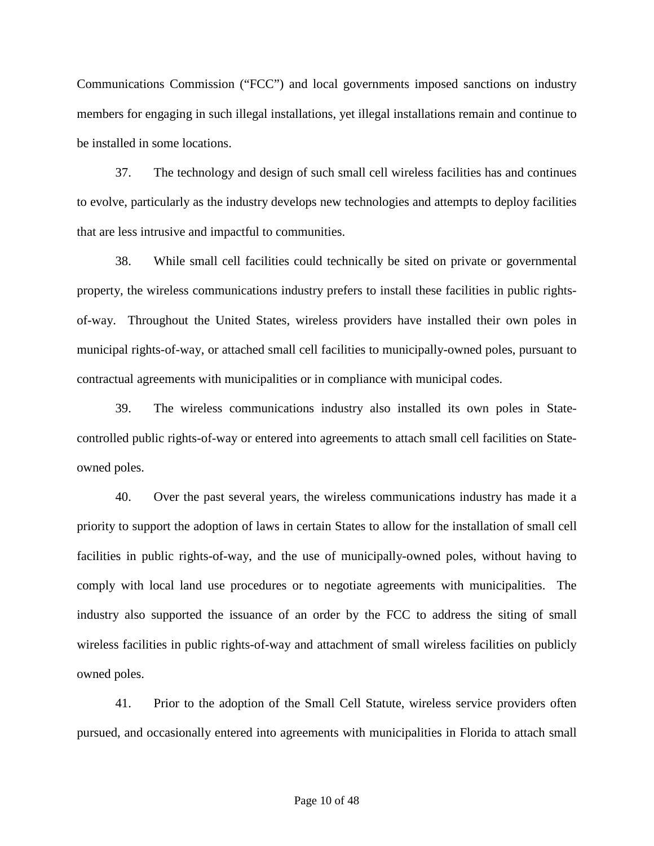Communications Commission ("FCC") and local governments imposed sanctions on industry members for engaging in such illegal installations, yet illegal installations remain and continue to be installed in some locations.

37. The technology and design of such small cell wireless facilities has and continues to evolve, particularly as the industry develops new technologies and attempts to deploy facilities that are less intrusive and impactful to communities.

38. While small cell facilities could technically be sited on private or governmental property, the wireless communications industry prefers to install these facilities in public rightsof-way. Throughout the United States, wireless providers have installed their own poles in municipal rights-of-way, or attached small cell facilities to municipally-owned poles, pursuant to contractual agreements with municipalities or in compliance with municipal codes.

39. The wireless communications industry also installed its own poles in Statecontrolled public rights-of-way or entered into agreements to attach small cell facilities on Stateowned poles.

40. Over the past several years, the wireless communications industry has made it a priority to support the adoption of laws in certain States to allow for the installation of small cell facilities in public rights-of-way, and the use of municipally-owned poles, without having to comply with local land use procedures or to negotiate agreements with municipalities. The industry also supported the issuance of an order by the FCC to address the siting of small wireless facilities in public rights-of-way and attachment of small wireless facilities on publicly owned poles.

41. Prior to the adoption of the Small Cell Statute, wireless service providers often pursued, and occasionally entered into agreements with municipalities in Florida to attach small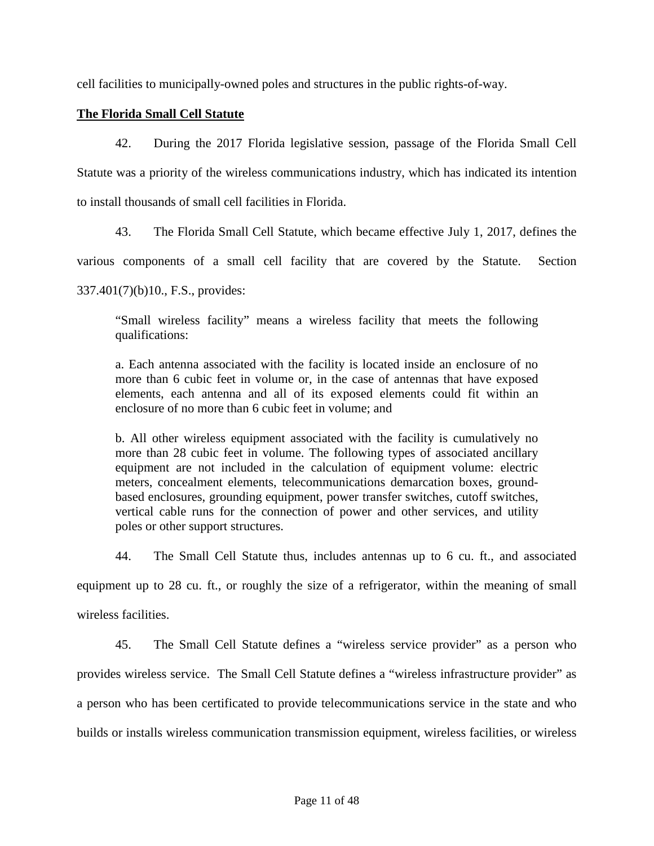cell facilities to municipally-owned poles and structures in the public rights-of-way.

### **The Florida Small Cell Statute**

42. During the 2017 Florida legislative session, passage of the Florida Small Cell Statute was a priority of the wireless communications industry, which has indicated its intention to install thousands of small cell facilities in Florida.

43. The Florida Small Cell Statute, which became effective July 1, 2017, defines the

various components of a small cell facility that are covered by the Statute. Section

337.401(7)(b)10., F.S., provides:

"Small wireless facility" means a wireless facility that meets the following qualifications:

a. Each antenna associated with the facility is located inside an enclosure of no more than 6 cubic feet in volume or, in the case of antennas that have exposed elements, each antenna and all of its exposed elements could fit within an enclosure of no more than 6 cubic feet in volume; and

b. All other wireless equipment associated with the facility is cumulatively no more than 28 cubic feet in volume. The following types of associated ancillary equipment are not included in the calculation of equipment volume: electric meters, concealment elements, telecommunications demarcation boxes, groundbased enclosures, grounding equipment, power transfer switches, cutoff switches, vertical cable runs for the connection of power and other services, and utility poles or other support structures.

44. The Small Cell Statute thus, includes antennas up to 6 cu. ft., and associated

equipment up to 28 cu. ft., or roughly the size of a refrigerator, within the meaning of small

wireless facilities.

45. The Small Cell Statute defines a "wireless service provider" as a person who provides wireless service. The Small Cell Statute defines a "wireless infrastructure provider" as a person who has been certificated to provide telecommunications service in the state and who builds or installs wireless communication transmission equipment, wireless facilities, or wireless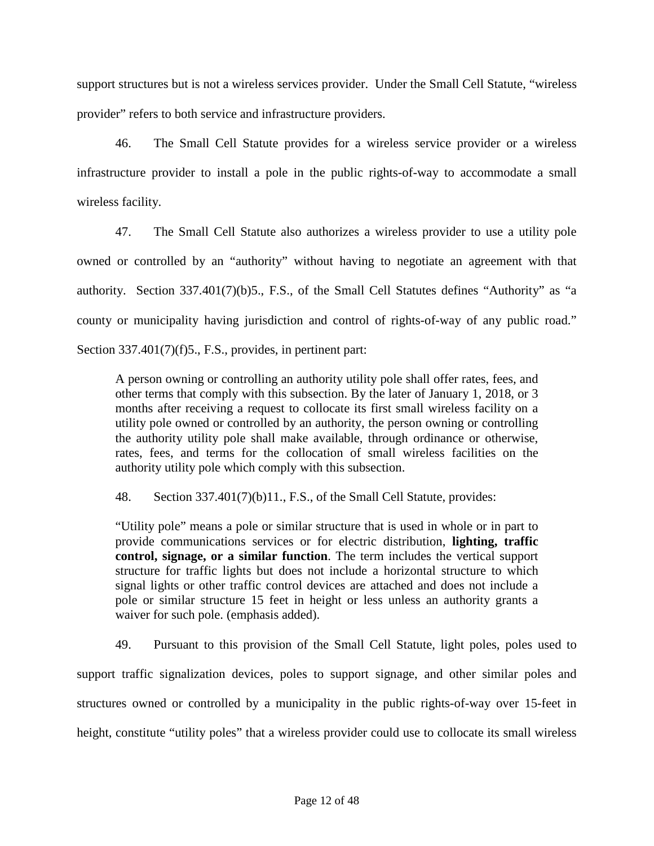support structures but is not a wireless services provider. Under the Small Cell Statute, "wireless provider" refers to both service and infrastructure providers.

46. The Small Cell Statute provides for a wireless service provider or a wireless infrastructure provider to install a pole in the public rights-of-way to accommodate a small wireless facility.

47. The Small Cell Statute also authorizes a wireless provider to use a utility pole owned or controlled by an "authority" without having to negotiate an agreement with that authority. Section 337.401(7)(b)5., F.S., of the Small Cell Statutes defines "Authority" as "a county or municipality having jurisdiction and control of rights-of-way of any public road." Section 337.401(7)(f)5., F.S., provides, in pertinent part:

A person owning or controlling an authority utility pole shall offer rates, fees, and other terms that comply with this subsection. By the later of January 1, 2018, or 3 months after receiving a request to collocate its first small wireless facility on a utility pole owned or controlled by an authority, the person owning or controlling the authority utility pole shall make available, through ordinance or otherwise, rates, fees, and terms for the collocation of small wireless facilities on the authority utility pole which comply with this subsection.

48. Section 337.401(7)(b)11., F.S., of the Small Cell Statute, provides:

"Utility pole" means a pole or similar structure that is used in whole or in part to provide communications services or for electric distribution, **lighting, traffic control, signage, or a similar function**. The term includes the vertical support structure for traffic lights but does not include a horizontal structure to which signal lights or other traffic control devices are attached and does not include a pole or similar structure 15 feet in height or less unless an authority grants a waiver for such pole. (emphasis added).

49. Pursuant to this provision of the Small Cell Statute, light poles, poles used to support traffic signalization devices, poles to support signage, and other similar poles and structures owned or controlled by a municipality in the public rights-of-way over 15-feet in height, constitute "utility poles" that a wireless provider could use to collocate its small wireless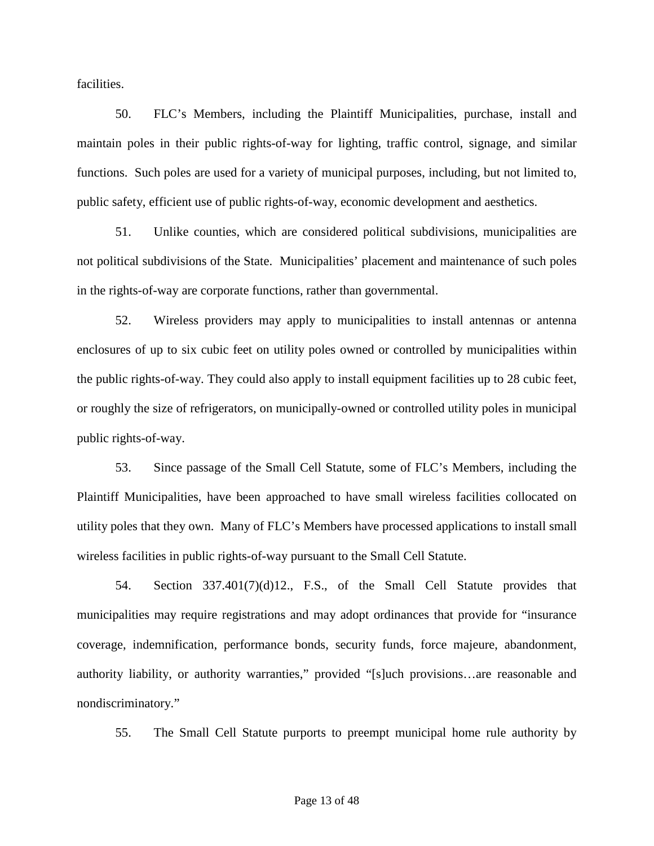facilities.

50. FLC's Members, including the Plaintiff Municipalities, purchase, install and maintain poles in their public rights-of-way for lighting, traffic control, signage, and similar functions. Such poles are used for a variety of municipal purposes, including, but not limited to, public safety, efficient use of public rights-of-way, economic development and aesthetics.

51. Unlike counties, which are considered political subdivisions, municipalities are not political subdivisions of the State. Municipalities' placement and maintenance of such poles in the rights-of-way are corporate functions, rather than governmental.

52. Wireless providers may apply to municipalities to install antennas or antenna enclosures of up to six cubic feet on utility poles owned or controlled by municipalities within the public rights-of-way. They could also apply to install equipment facilities up to 28 cubic feet, or roughly the size of refrigerators, on municipally-owned or controlled utility poles in municipal public rights-of-way.

53. Since passage of the Small Cell Statute, some of FLC's Members, including the Plaintiff Municipalities, have been approached to have small wireless facilities collocated on utility poles that they own. Many of FLC's Members have processed applications to install small wireless facilities in public rights-of-way pursuant to the Small Cell Statute.

54. Section 337.401(7)(d)12., F.S., of the Small Cell Statute provides that municipalities may require registrations and may adopt ordinances that provide for "insurance coverage, indemnification, performance bonds, security funds, force majeure, abandonment, authority liability, or authority warranties," provided "[s]uch provisions…are reasonable and nondiscriminatory."

55. The Small Cell Statute purports to preempt municipal home rule authority by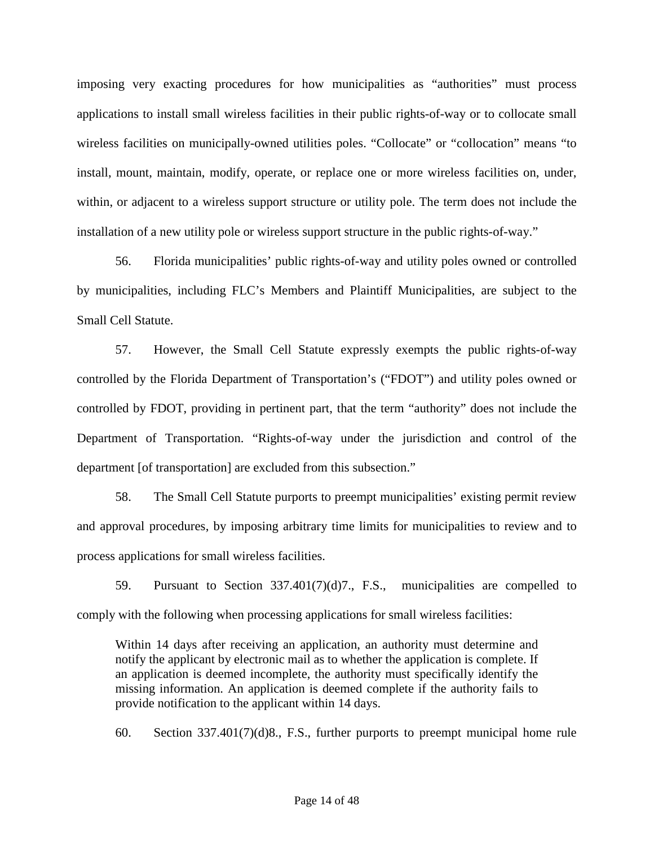imposing very exacting procedures for how municipalities as "authorities" must process applications to install small wireless facilities in their public rights-of-way or to collocate small wireless facilities on municipally-owned utilities poles. "Collocate" or "collocation" means "to install, mount, maintain, modify, operate, or replace one or more wireless facilities on, under, within, or adjacent to a wireless support structure or utility pole. The term does not include the installation of a new utility pole or wireless support structure in the public rights-of-way."

56. Florida municipalities' public rights-of-way and utility poles owned or controlled by municipalities, including FLC's Members and Plaintiff Municipalities, are subject to the Small Cell Statute.

57. However, the Small Cell Statute expressly exempts the public rights-of-way controlled by the Florida Department of Transportation's ("FDOT") and utility poles owned or controlled by FDOT, providing in pertinent part, that the term "authority" does not include the Department of Transportation. "Rights-of-way under the jurisdiction and control of the department [of transportation] are excluded from this subsection."

58. The Small Cell Statute purports to preempt municipalities' existing permit review and approval procedures, by imposing arbitrary time limits for municipalities to review and to process applications for small wireless facilities.

59. Pursuant to Section 337.401(7)(d)7., F.S., municipalities are compelled to comply with the following when processing applications for small wireless facilities:

Within 14 days after receiving an application, an authority must determine and notify the applicant by electronic mail as to whether the application is complete. If an application is deemed incomplete, the authority must specifically identify the missing information. An application is deemed complete if the authority fails to provide notification to the applicant within 14 days.

60. Section 337.401(7)(d)8., F.S., further purports to preempt municipal home rule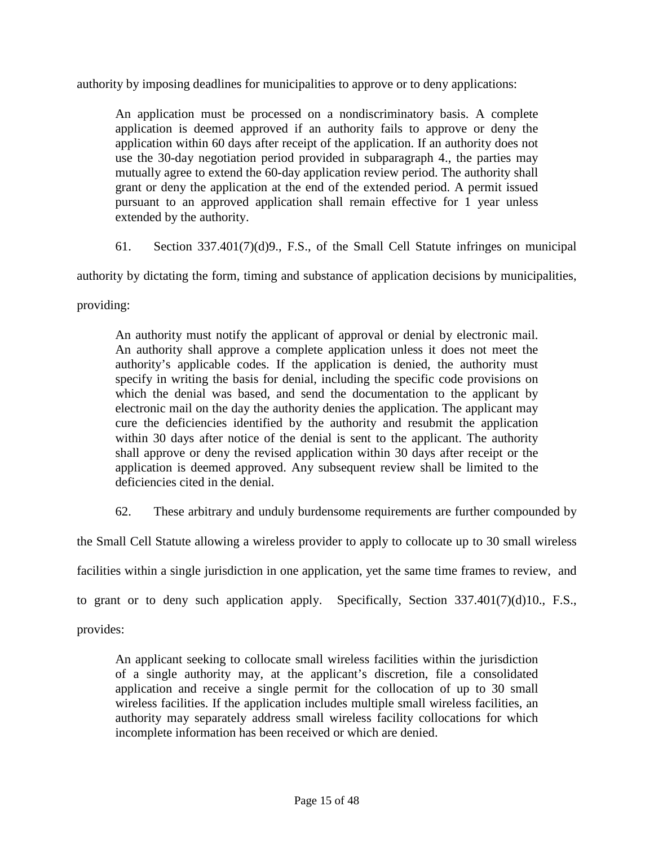authority by imposing deadlines for municipalities to approve or to deny applications:

An application must be processed on a nondiscriminatory basis. A complete application is deemed approved if an authority fails to approve or deny the application within 60 days after receipt of the application. If an authority does not use the 30-day negotiation period provided in subparagraph 4., the parties may mutually agree to extend the 60-day application review period. The authority shall grant or deny the application at the end of the extended period. A permit issued pursuant to an approved application shall remain effective for 1 year unless extended by the authority.

61. Section 337.401(7)(d)9., F.S., of the Small Cell Statute infringes on municipal

authority by dictating the form, timing and substance of application decisions by municipalities,

providing:

An authority must notify the applicant of approval or denial by electronic mail. An authority shall approve a complete application unless it does not meet the authority's applicable codes. If the application is denied, the authority must specify in writing the basis for denial, including the specific code provisions on which the denial was based, and send the documentation to the applicant by electronic mail on the day the authority denies the application. The applicant may cure the deficiencies identified by the authority and resubmit the application within 30 days after notice of the denial is sent to the applicant. The authority shall approve or deny the revised application within 30 days after receipt or the application is deemed approved. Any subsequent review shall be limited to the deficiencies cited in the denial.

62. These arbitrary and unduly burdensome requirements are further compounded by

the Small Cell Statute allowing a wireless provider to apply to collocate up to 30 small wireless

facilities within a single jurisdiction in one application, yet the same time frames to review, and

to grant or to deny such application apply. Specifically, Section 337.401(7)(d)10., F.S.,

provides:

An applicant seeking to collocate small wireless facilities within the jurisdiction of a single authority may, at the applicant's discretion, file a consolidated application and receive a single permit for the collocation of up to 30 small wireless facilities. If the application includes multiple small wireless facilities, an authority may separately address small wireless facility collocations for which incomplete information has been received or which are denied.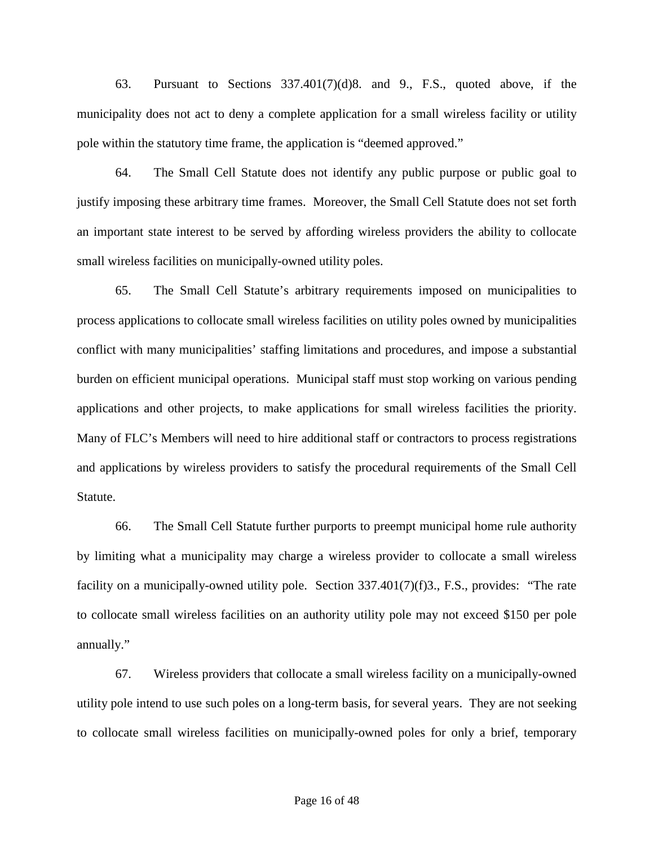63. Pursuant to Sections 337.401(7)(d)8. and 9., F.S., quoted above, if the municipality does not act to deny a complete application for a small wireless facility or utility pole within the statutory time frame, the application is "deemed approved."

64. The Small Cell Statute does not identify any public purpose or public goal to justify imposing these arbitrary time frames. Moreover, the Small Cell Statute does not set forth an important state interest to be served by affording wireless providers the ability to collocate small wireless facilities on municipally-owned utility poles.

65. The Small Cell Statute's arbitrary requirements imposed on municipalities to process applications to collocate small wireless facilities on utility poles owned by municipalities conflict with many municipalities' staffing limitations and procedures, and impose a substantial burden on efficient municipal operations. Municipal staff must stop working on various pending applications and other projects, to make applications for small wireless facilities the priority. Many of FLC's Members will need to hire additional staff or contractors to process registrations and applications by wireless providers to satisfy the procedural requirements of the Small Cell Statute.

66. The Small Cell Statute further purports to preempt municipal home rule authority by limiting what a municipality may charge a wireless provider to collocate a small wireless facility on a municipally-owned utility pole. Section 337.401(7)(f)3., F.S., provides: "The rate to collocate small wireless facilities on an authority utility pole may not exceed \$150 per pole annually."

67. Wireless providers that collocate a small wireless facility on a municipally-owned utility pole intend to use such poles on a long-term basis, for several years. They are not seeking to collocate small wireless facilities on municipally-owned poles for only a brief, temporary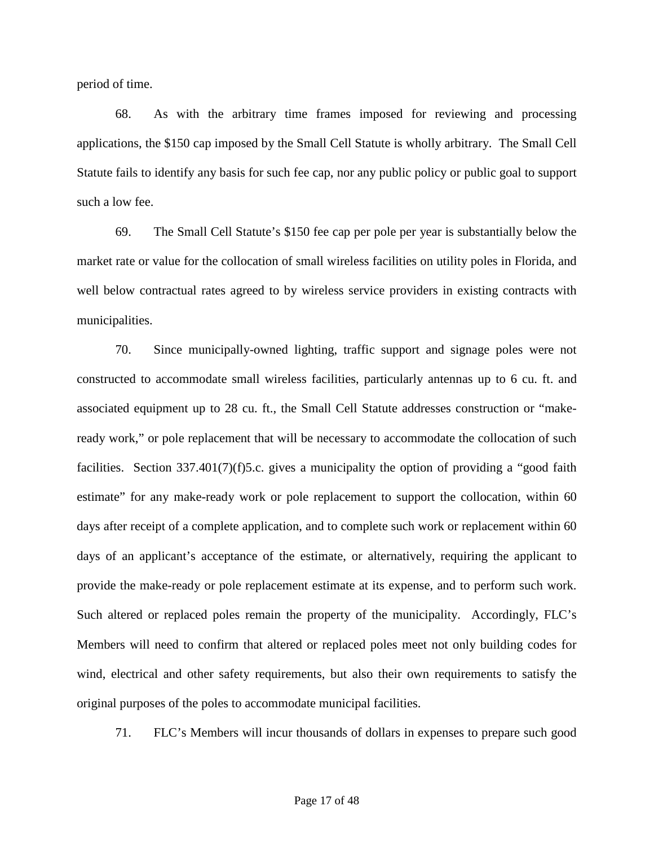period of time.

68. As with the arbitrary time frames imposed for reviewing and processing applications, the \$150 cap imposed by the Small Cell Statute is wholly arbitrary. The Small Cell Statute fails to identify any basis for such fee cap, nor any public policy or public goal to support such a low fee.

69. The Small Cell Statute's \$150 fee cap per pole per year is substantially below the market rate or value for the collocation of small wireless facilities on utility poles in Florida, and well below contractual rates agreed to by wireless service providers in existing contracts with municipalities.

70. Since municipally-owned lighting, traffic support and signage poles were not constructed to accommodate small wireless facilities, particularly antennas up to 6 cu. ft. and associated equipment up to 28 cu. ft., the Small Cell Statute addresses construction or "makeready work," or pole replacement that will be necessary to accommodate the collocation of such facilities. Section 337.401(7)(f)5.c. gives a municipality the option of providing a "good faith estimate" for any make-ready work or pole replacement to support the collocation, within 60 days after receipt of a complete application, and to complete such work or replacement within 60 days of an applicant's acceptance of the estimate, or alternatively, requiring the applicant to provide the make-ready or pole replacement estimate at its expense, and to perform such work. Such altered or replaced poles remain the property of the municipality. Accordingly, FLC's Members will need to confirm that altered or replaced poles meet not only building codes for wind, electrical and other safety requirements, but also their own requirements to satisfy the original purposes of the poles to accommodate municipal facilities.

71. FLC's Members will incur thousands of dollars in expenses to prepare such good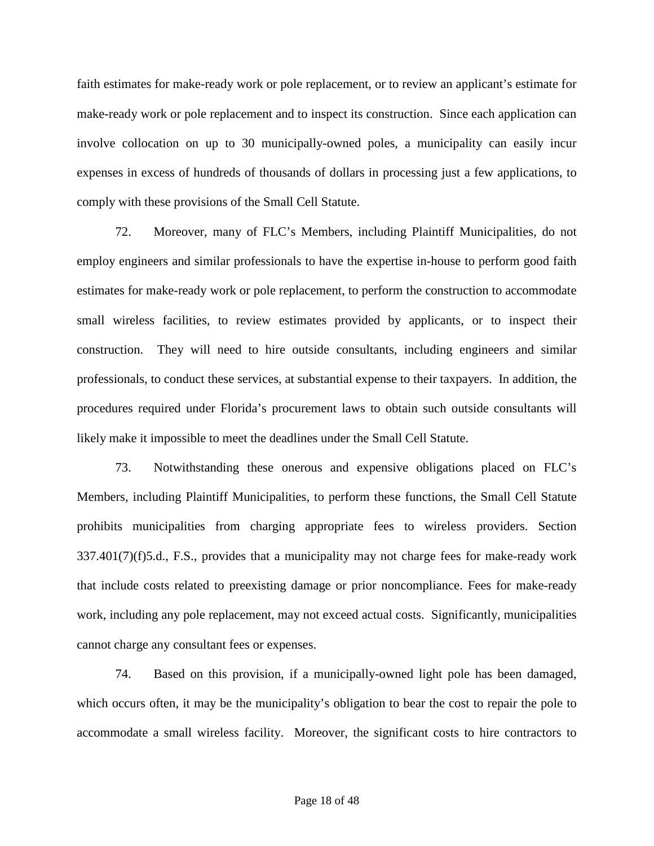faith estimates for make-ready work or pole replacement, or to review an applicant's estimate for make-ready work or pole replacement and to inspect its construction. Since each application can involve collocation on up to 30 municipally-owned poles, a municipality can easily incur expenses in excess of hundreds of thousands of dollars in processing just a few applications, to comply with these provisions of the Small Cell Statute.

72. Moreover, many of FLC's Members, including Plaintiff Municipalities, do not employ engineers and similar professionals to have the expertise in-house to perform good faith estimates for make-ready work or pole replacement, to perform the construction to accommodate small wireless facilities, to review estimates provided by applicants, or to inspect their construction. They will need to hire outside consultants, including engineers and similar professionals, to conduct these services, at substantial expense to their taxpayers. In addition, the procedures required under Florida's procurement laws to obtain such outside consultants will likely make it impossible to meet the deadlines under the Small Cell Statute.

73. Notwithstanding these onerous and expensive obligations placed on FLC's Members, including Plaintiff Municipalities, to perform these functions, the Small Cell Statute prohibits municipalities from charging appropriate fees to wireless providers. Section 337.401(7)(f)5.d., F.S., provides that a municipality may not charge fees for make-ready work that include costs related to preexisting damage or prior noncompliance. Fees for make-ready work, including any pole replacement, may not exceed actual costs. Significantly, municipalities cannot charge any consultant fees or expenses.

74. Based on this provision, if a municipally-owned light pole has been damaged, which occurs often, it may be the municipality's obligation to bear the cost to repair the pole to accommodate a small wireless facility. Moreover, the significant costs to hire contractors to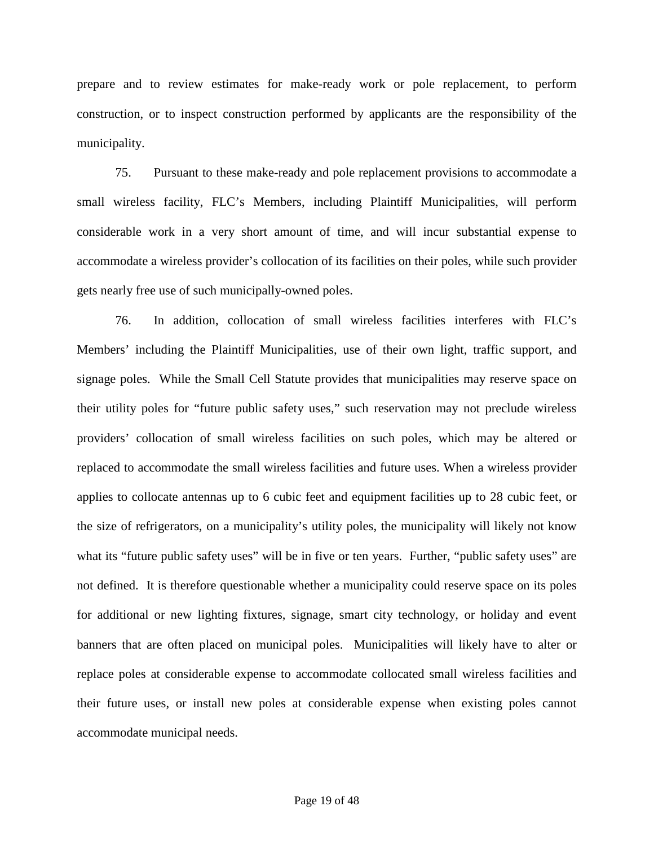prepare and to review estimates for make-ready work or pole replacement, to perform construction, or to inspect construction performed by applicants are the responsibility of the municipality.

75. Pursuant to these make-ready and pole replacement provisions to accommodate a small wireless facility, FLC's Members, including Plaintiff Municipalities, will perform considerable work in a very short amount of time, and will incur substantial expense to accommodate a wireless provider's collocation of its facilities on their poles, while such provider gets nearly free use of such municipally-owned poles.

76. In addition, collocation of small wireless facilities interferes with FLC's Members' including the Plaintiff Municipalities, use of their own light, traffic support, and signage poles. While the Small Cell Statute provides that municipalities may reserve space on their utility poles for "future public safety uses," such reservation may not preclude wireless providers' collocation of small wireless facilities on such poles, which may be altered or replaced to accommodate the small wireless facilities and future uses. When a wireless provider applies to collocate antennas up to 6 cubic feet and equipment facilities up to 28 cubic feet, or the size of refrigerators, on a municipality's utility poles, the municipality will likely not know what its "future public safety uses" will be in five or ten years. Further, "public safety uses" are not defined. It is therefore questionable whether a municipality could reserve space on its poles for additional or new lighting fixtures, signage, smart city technology, or holiday and event banners that are often placed on municipal poles. Municipalities will likely have to alter or replace poles at considerable expense to accommodate collocated small wireless facilities and their future uses, or install new poles at considerable expense when existing poles cannot accommodate municipal needs.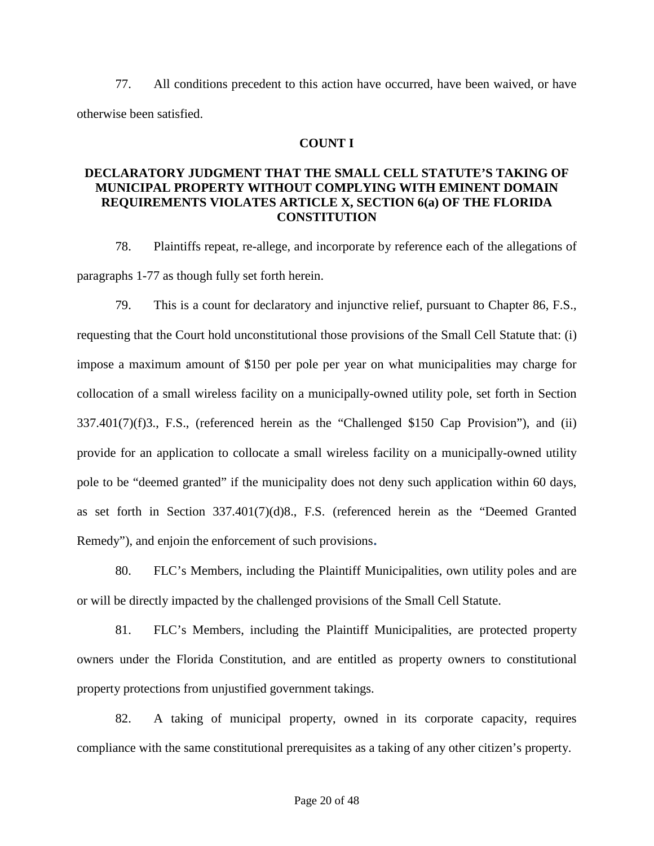77. All conditions precedent to this action have occurred, have been waived, or have otherwise been satisfied.

## **COUNT I**

### **DECLARATORY JUDGMENT THAT THE SMALL CELL STATUTE'S TAKING OF MUNICIPAL PROPERTY WITHOUT COMPLYING WITH EMINENT DOMAIN REQUIREMENTS VIOLATES ARTICLE X, SECTION 6(a) OF THE FLORIDA CONSTITUTION**

78. Plaintiffs repeat, re-allege, and incorporate by reference each of the allegations of paragraphs 1-77 as though fully set forth herein.

79. This is a count for declaratory and injunctive relief, pursuant to Chapter 86, F.S., requesting that the Court hold unconstitutional those provisions of the Small Cell Statute that: (i) impose a maximum amount of \$150 per pole per year on what municipalities may charge for collocation of a small wireless facility on a municipally-owned utility pole, set forth in Section  $337.401(7)(f)3$ ., F.S., (referenced herein as the "Challenged \$150 Cap Provision"), and (ii) provide for an application to collocate a small wireless facility on a municipally-owned utility pole to be "deemed granted" if the municipality does not deny such application within 60 days, as set forth in Section 337.401(7)(d)8., F.S. (referenced herein as the "Deemed Granted Remedy"), and enjoin the enforcement of such provisions**.**

80. FLC's Members, including the Plaintiff Municipalities, own utility poles and are or will be directly impacted by the challenged provisions of the Small Cell Statute.

81. FLC's Members, including the Plaintiff Municipalities, are protected property owners under the Florida Constitution, and are entitled as property owners to constitutional property protections from unjustified government takings.

82. A taking of municipal property, owned in its corporate capacity, requires compliance with the same constitutional prerequisites as a taking of any other citizen's property.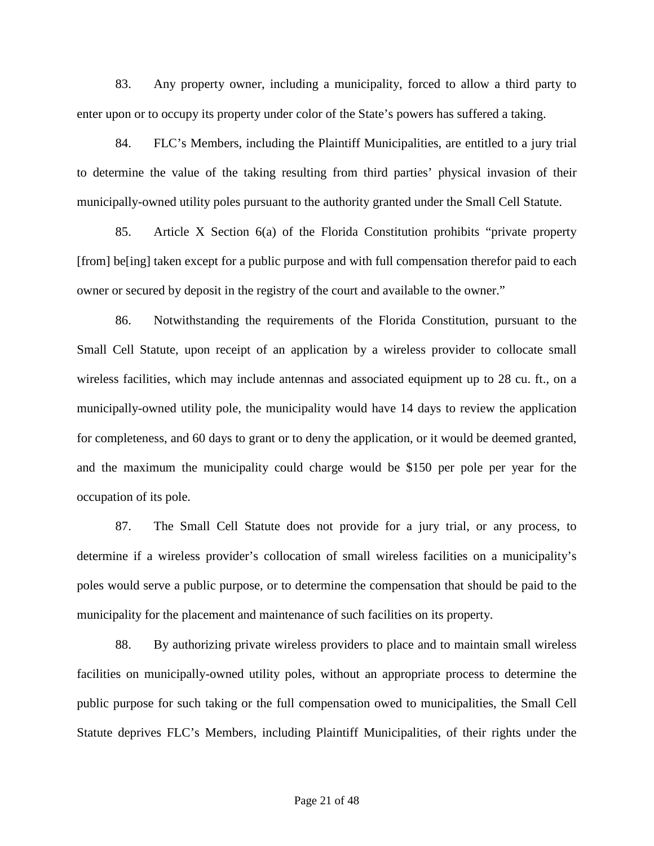83. Any property owner, including a municipality, forced to allow a third party to enter upon or to occupy its property under color of the State's powers has suffered a taking.

84. FLC's Members, including the Plaintiff Municipalities, are entitled to a jury trial to determine the value of the taking resulting from third parties' physical invasion of their municipally-owned utility poles pursuant to the authority granted under the Small Cell Statute.

85. Article X Section 6(a) of the Florida Constitution prohibits "private property [from] be[ing] taken except for a public purpose and with full compensation therefor paid to each owner or secured by deposit in the registry of the court and available to the owner."

86. Notwithstanding the requirements of the Florida Constitution, pursuant to the Small Cell Statute, upon receipt of an application by a wireless provider to collocate small wireless facilities, which may include antennas and associated equipment up to 28 cu. ft., on a municipally-owned utility pole, the municipality would have 14 days to review the application for completeness, and 60 days to grant or to deny the application, or it would be deemed granted, and the maximum the municipality could charge would be \$150 per pole per year for the occupation of its pole.

87. The Small Cell Statute does not provide for a jury trial, or any process, to determine if a wireless provider's collocation of small wireless facilities on a municipality's poles would serve a public purpose, or to determine the compensation that should be paid to the municipality for the placement and maintenance of such facilities on its property.

88. By authorizing private wireless providers to place and to maintain small wireless facilities on municipally-owned utility poles, without an appropriate process to determine the public purpose for such taking or the full compensation owed to municipalities, the Small Cell Statute deprives FLC's Members, including Plaintiff Municipalities, of their rights under the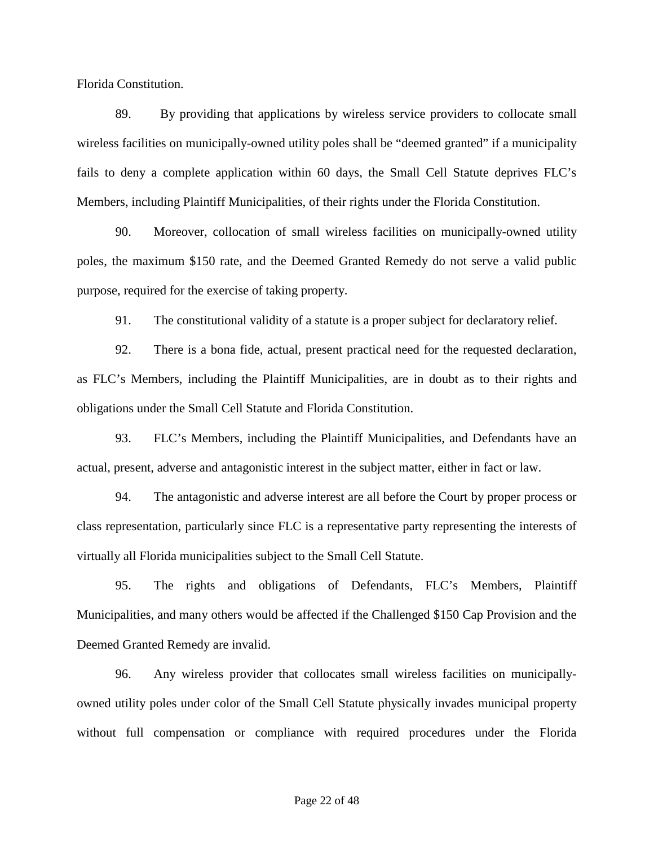Florida Constitution.

89. By providing that applications by wireless service providers to collocate small wireless facilities on municipally-owned utility poles shall be "deemed granted" if a municipality fails to deny a complete application within 60 days, the Small Cell Statute deprives FLC's Members, including Plaintiff Municipalities, of their rights under the Florida Constitution.

90. Moreover, collocation of small wireless facilities on municipally-owned utility poles, the maximum \$150 rate, and the Deemed Granted Remedy do not serve a valid public purpose, required for the exercise of taking property.

91. The constitutional validity of a statute is a proper subject for declaratory relief.

92. There is a bona fide, actual, present practical need for the requested declaration, as FLC's Members, including the Plaintiff Municipalities, are in doubt as to their rights and obligations under the Small Cell Statute and Florida Constitution.

93. FLC's Members, including the Plaintiff Municipalities, and Defendants have an actual, present, adverse and antagonistic interest in the subject matter, either in fact or law.

94. The antagonistic and adverse interest are all before the Court by proper process or class representation, particularly since FLC is a representative party representing the interests of virtually all Florida municipalities subject to the Small Cell Statute.

95. The rights and obligations of Defendants, FLC's Members, Plaintiff Municipalities, and many others would be affected if the Challenged \$150 Cap Provision and the Deemed Granted Remedy are invalid.

96. Any wireless provider that collocates small wireless facilities on municipallyowned utility poles under color of the Small Cell Statute physically invades municipal property without full compensation or compliance with required procedures under the Florida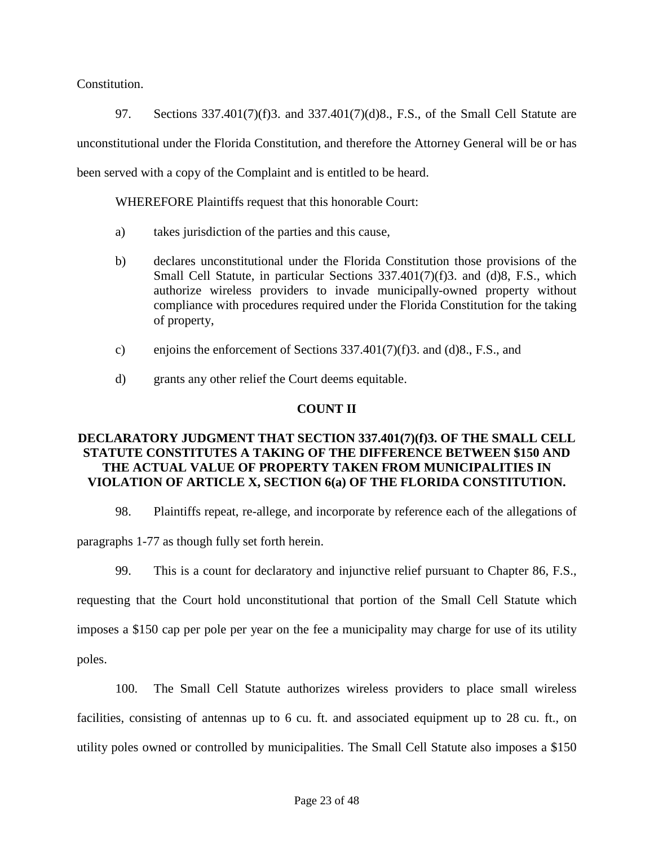Constitution.

97. Sections 337.401(7)(f)3. and 337.401(7)(d)8., F.S., of the Small Cell Statute are unconstitutional under the Florida Constitution, and therefore the Attorney General will be or has been served with a copy of the Complaint and is entitled to be heard.

WHEREFORE Plaintiffs request that this honorable Court:

- a) takes jurisdiction of the parties and this cause,
- b) declares unconstitutional under the Florida Constitution those provisions of the Small Cell Statute, in particular Sections 337.401(7)(f)3. and (d)8, F.S., which authorize wireless providers to invade municipally-owned property without compliance with procedures required under the Florida Constitution for the taking of property,
- c) enjoins the enforcement of Sections 337.401(7)(f)3. and (d)8., F.S., and
- d) grants any other relief the Court deems equitable.

# **COUNT II**

# **DECLARATORY JUDGMENT THAT SECTION 337.401(7)(f)3. OF THE SMALL CELL STATUTE CONSTITUTES A TAKING OF THE DIFFERENCE BETWEEN \$150 AND THE ACTUAL VALUE OF PROPERTY TAKEN FROM MUNICIPALITIES IN VIOLATION OF ARTICLE X, SECTION 6(a) OF THE FLORIDA CONSTITUTION.**

98. Plaintiffs repeat, re-allege, and incorporate by reference each of the allegations of

paragraphs 1-77 as though fully set forth herein.

99. This is a count for declaratory and injunctive relief pursuant to Chapter 86, F.S.,

requesting that the Court hold unconstitutional that portion of the Small Cell Statute which imposes a \$150 cap per pole per year on the fee a municipality may charge for use of its utility poles.

100. The Small Cell Statute authorizes wireless providers to place small wireless facilities, consisting of antennas up to 6 cu. ft. and associated equipment up to 28 cu. ft., on utility poles owned or controlled by municipalities. The Small Cell Statute also imposes a \$150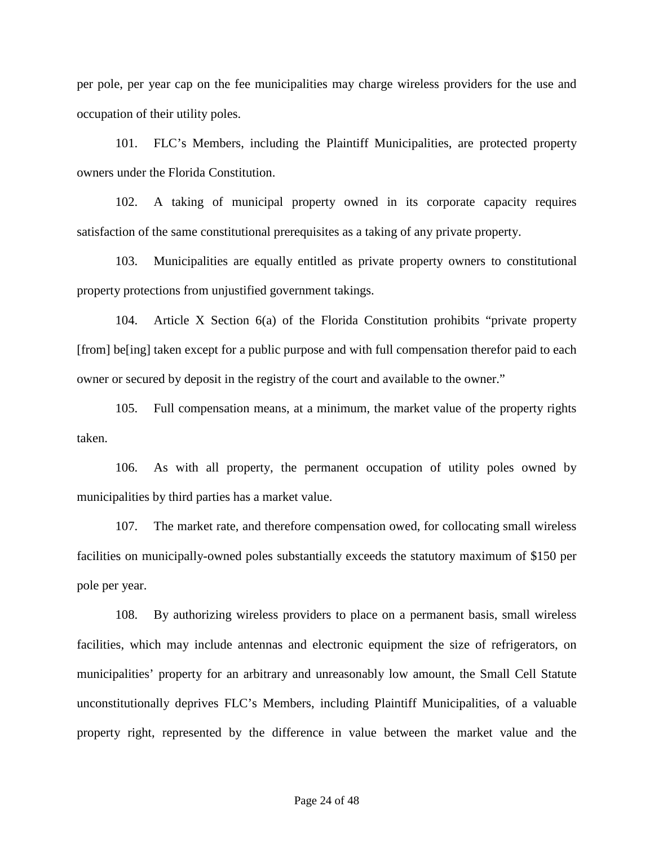per pole, per year cap on the fee municipalities may charge wireless providers for the use and occupation of their utility poles.

101. FLC's Members, including the Plaintiff Municipalities, are protected property owners under the Florida Constitution.

102. A taking of municipal property owned in its corporate capacity requires satisfaction of the same constitutional prerequisites as a taking of any private property.

103. Municipalities are equally entitled as private property owners to constitutional property protections from unjustified government takings.

104. Article X Section 6(a) of the Florida Constitution prohibits "private property [from] be[ing] taken except for a public purpose and with full compensation therefor paid to each owner or secured by deposit in the registry of the court and available to the owner."

105. Full compensation means, at a minimum, the market value of the property rights taken.

106. As with all property, the permanent occupation of utility poles owned by municipalities by third parties has a market value.

107. The market rate, and therefore compensation owed, for collocating small wireless facilities on municipally-owned poles substantially exceeds the statutory maximum of \$150 per pole per year.

108. By authorizing wireless providers to place on a permanent basis, small wireless facilities, which may include antennas and electronic equipment the size of refrigerators, on municipalities' property for an arbitrary and unreasonably low amount, the Small Cell Statute unconstitutionally deprives FLC's Members, including Plaintiff Municipalities, of a valuable property right, represented by the difference in value between the market value and the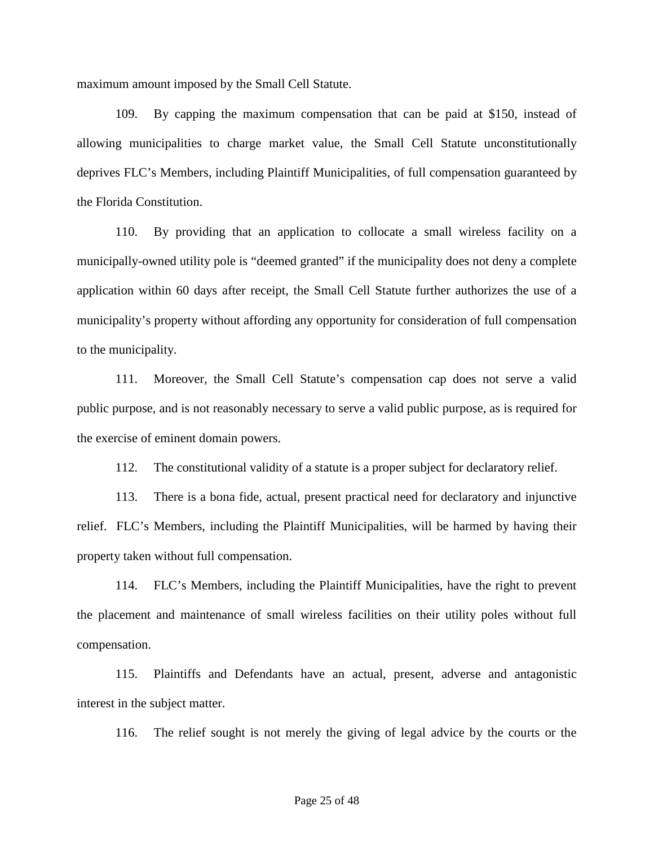maximum amount imposed by the Small Cell Statute.

109. By capping the maximum compensation that can be paid at \$150, instead of allowing municipalities to charge market value, the Small Cell Statute unconstitutionally deprives FLC's Members, including Plaintiff Municipalities, of full compensation guaranteed by the Florida Constitution.

110. By providing that an application to collocate a small wireless facility on a municipally-owned utility pole is "deemed granted" if the municipality does not deny a complete application within 60 days after receipt, the Small Cell Statute further authorizes the use of a municipality's property without affording any opportunity for consideration of full compensation to the municipality.

111. Moreover, the Small Cell Statute's compensation cap does not serve a valid public purpose, and is not reasonably necessary to serve a valid public purpose, as is required for the exercise of eminent domain powers.

112. The constitutional validity of a statute is a proper subject for declaratory relief.

113. There is a bona fide, actual, present practical need for declaratory and injunctive relief. FLC's Members, including the Plaintiff Municipalities, will be harmed by having their property taken without full compensation.

114. FLC's Members, including the Plaintiff Municipalities, have the right to prevent the placement and maintenance of small wireless facilities on their utility poles without full compensation.

115. Plaintiffs and Defendants have an actual, present, adverse and antagonistic interest in the subject matter.

116. The relief sought is not merely the giving of legal advice by the courts or the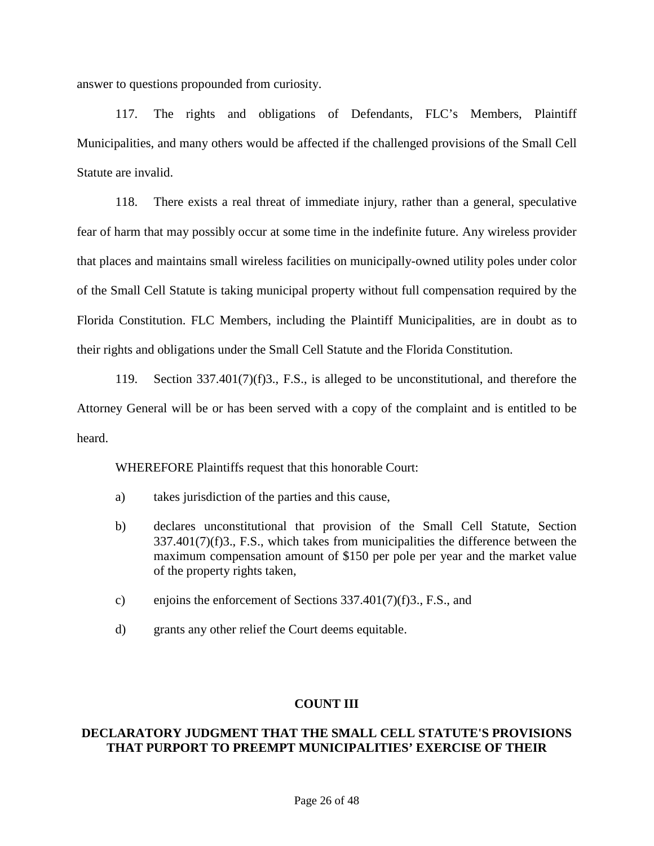answer to questions propounded from curiosity.

117. The rights and obligations of Defendants, FLC's Members, Plaintiff Municipalities, and many others would be affected if the challenged provisions of the Small Cell Statute are invalid.

118. There exists a real threat of immediate injury, rather than a general, speculative fear of harm that may possibly occur at some time in the indefinite future. Any wireless provider that places and maintains small wireless facilities on municipally-owned utility poles under color of the Small Cell Statute is taking municipal property without full compensation required by the Florida Constitution. FLC Members, including the Plaintiff Municipalities, are in doubt as to their rights and obligations under the Small Cell Statute and the Florida Constitution.

119. Section 337.401(7)(f)3., F.S., is alleged to be unconstitutional, and therefore the Attorney General will be or has been served with a copy of the complaint and is entitled to be heard.

WHEREFORE Plaintiffs request that this honorable Court:

- a) takes jurisdiction of the parties and this cause,
- b) declares unconstitutional that provision of the Small Cell Statute, Section 337.401(7)(f)3., F.S., which takes from municipalities the difference between the maximum compensation amount of \$150 per pole per year and the market value of the property rights taken,
- c) enjoins the enforcement of Sections 337.401(7)(f)3., F.S., and
- d) grants any other relief the Court deems equitable.

#### **COUNT III**

### **DECLARATORY JUDGMENT THAT THE SMALL CELL STATUTE'S PROVISIONS THAT PURPORT TO PREEMPT MUNICIPALITIES' EXERCISE OF THEIR**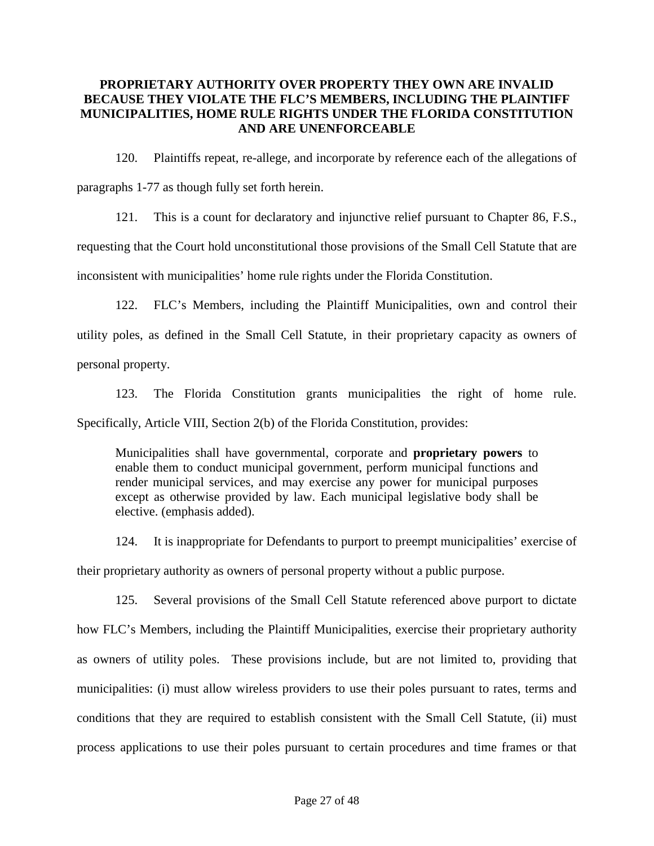### **PROPRIETARY AUTHORITY OVER PROPERTY THEY OWN ARE INVALID BECAUSE THEY VIOLATE THE FLC'S MEMBERS, INCLUDING THE PLAINTIFF MUNICIPALITIES, HOME RULE RIGHTS UNDER THE FLORIDA CONSTITUTION AND ARE UNENFORCEABLE**

120. Plaintiffs repeat, re-allege, and incorporate by reference each of the allegations of paragraphs 1-77 as though fully set forth herein.

121. This is a count for declaratory and injunctive relief pursuant to Chapter 86, F.S.,

requesting that the Court hold unconstitutional those provisions of the Small Cell Statute that are

inconsistent with municipalities' home rule rights under the Florida Constitution.

122. FLC's Members, including the Plaintiff Municipalities, own and control their utility poles, as defined in the Small Cell Statute, in their proprietary capacity as owners of personal property.

123. The Florida Constitution grants municipalities the right of home rule. Specifically, Article VIII, Section 2(b) of the Florida Constitution, provides:

Municipalities shall have governmental, corporate and **proprietary powers** to enable them to conduct municipal government, perform municipal functions and render municipal services, and may exercise any power for municipal purposes except as otherwise provided by law. Each municipal legislative body shall be elective. (emphasis added).

124. It is inappropriate for Defendants to purport to preempt municipalities' exercise of their proprietary authority as owners of personal property without a public purpose.

125. Several provisions of the Small Cell Statute referenced above purport to dictate how FLC's Members, including the Plaintiff Municipalities, exercise their proprietary authority as owners of utility poles. These provisions include, but are not limited to, providing that municipalities: (i) must allow wireless providers to use their poles pursuant to rates, terms and conditions that they are required to establish consistent with the Small Cell Statute, (ii) must process applications to use their poles pursuant to certain procedures and time frames or that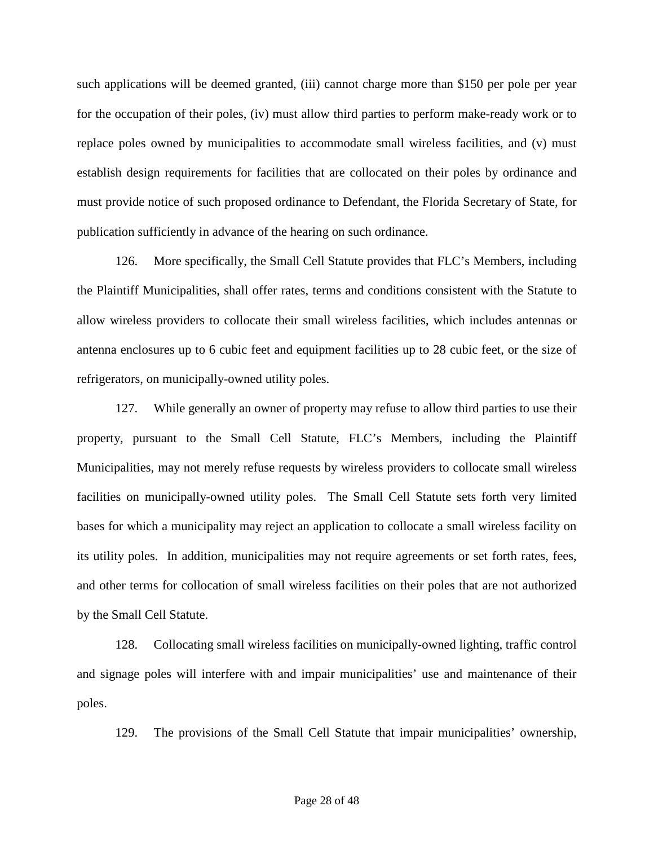such applications will be deemed granted, (iii) cannot charge more than \$150 per pole per year for the occupation of their poles, (iv) must allow third parties to perform make-ready work or to replace poles owned by municipalities to accommodate small wireless facilities, and (v) must establish design requirements for facilities that are collocated on their poles by ordinance and must provide notice of such proposed ordinance to Defendant, the Florida Secretary of State, for publication sufficiently in advance of the hearing on such ordinance.

126. More specifically, the Small Cell Statute provides that FLC's Members, including the Plaintiff Municipalities, shall offer rates, terms and conditions consistent with the Statute to allow wireless providers to collocate their small wireless facilities, which includes antennas or antenna enclosures up to 6 cubic feet and equipment facilities up to 28 cubic feet, or the size of refrigerators, on municipally-owned utility poles.

127. While generally an owner of property may refuse to allow third parties to use their property, pursuant to the Small Cell Statute, FLC's Members, including the Plaintiff Municipalities, may not merely refuse requests by wireless providers to collocate small wireless facilities on municipally-owned utility poles. The Small Cell Statute sets forth very limited bases for which a municipality may reject an application to collocate a small wireless facility on its utility poles. In addition, municipalities may not require agreements or set forth rates, fees, and other terms for collocation of small wireless facilities on their poles that are not authorized by the Small Cell Statute.

128. Collocating small wireless facilities on municipally-owned lighting, traffic control and signage poles will interfere with and impair municipalities' use and maintenance of their poles.

129. The provisions of the Small Cell Statute that impair municipalities' ownership,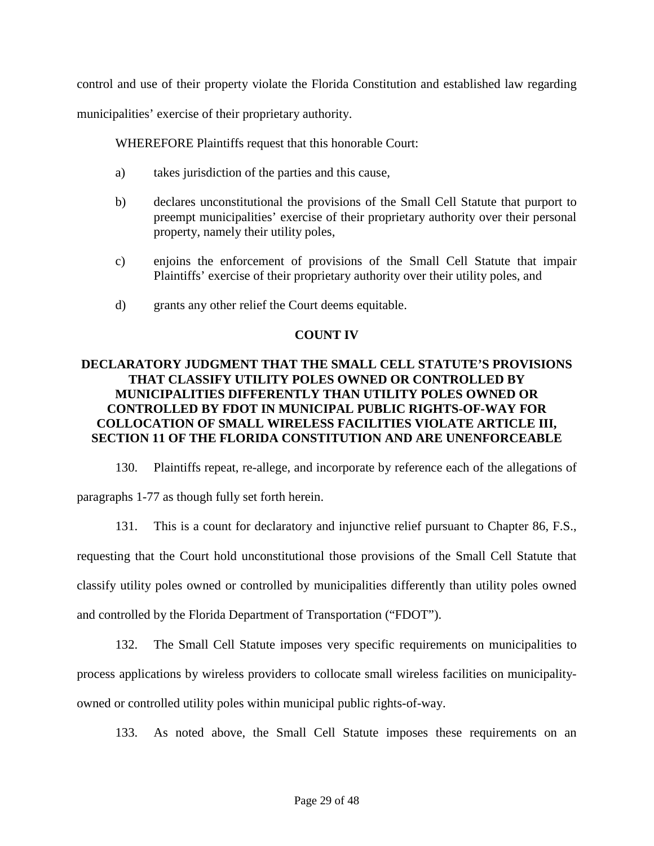control and use of their property violate the Florida Constitution and established law regarding

municipalities' exercise of their proprietary authority.

WHEREFORE Plaintiffs request that this honorable Court:

- a) takes jurisdiction of the parties and this cause,
- b) declares unconstitutional the provisions of the Small Cell Statute that purport to preempt municipalities' exercise of their proprietary authority over their personal property, namely their utility poles,
- c) enjoins the enforcement of provisions of the Small Cell Statute that impair Plaintiffs' exercise of their proprietary authority over their utility poles, and
- d) grants any other relief the Court deems equitable.

### **COUNT IV**

# **DECLARATORY JUDGMENT THAT THE SMALL CELL STATUTE'S PROVISIONS THAT CLASSIFY UTILITY POLES OWNED OR CONTROLLED BY MUNICIPALITIES DIFFERENTLY THAN UTILITY POLES OWNED OR CONTROLLED BY FDOT IN MUNICIPAL PUBLIC RIGHTS-OF-WAY FOR COLLOCATION OF SMALL WIRELESS FACILITIES VIOLATE ARTICLE III, SECTION 11 OF THE FLORIDA CONSTITUTION AND ARE UNENFORCEABLE**

130. Plaintiffs repeat, re-allege, and incorporate by reference each of the allegations of paragraphs 1-77 as though fully set forth herein.

131. This is a count for declaratory and injunctive relief pursuant to Chapter 86, F.S., requesting that the Court hold unconstitutional those provisions of the Small Cell Statute that classify utility poles owned or controlled by municipalities differently than utility poles owned and controlled by the Florida Department of Transportation ("FDOT").

132. The Small Cell Statute imposes very specific requirements on municipalities to process applications by wireless providers to collocate small wireless facilities on municipalityowned or controlled utility poles within municipal public rights-of-way.

133. As noted above, the Small Cell Statute imposes these requirements on an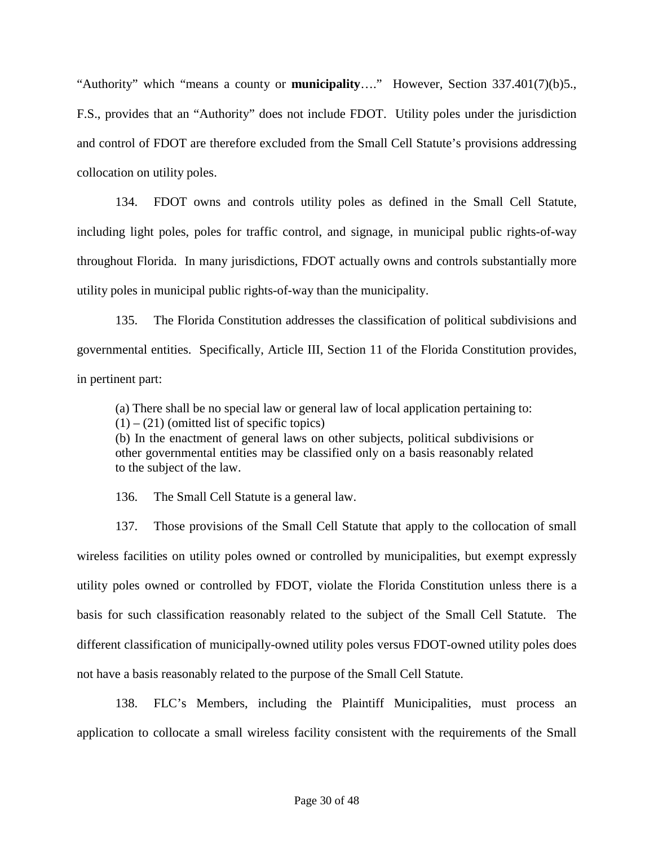"Authority" which "means a county or **municipality**…." However, Section 337.401(7)(b)5., F.S., provides that an "Authority" does not include FDOT. Utility poles under the jurisdiction and control of FDOT are therefore excluded from the Small Cell Statute's provisions addressing collocation on utility poles.

134. FDOT owns and controls utility poles as defined in the Small Cell Statute, including light poles, poles for traffic control, and signage, in municipal public rights-of-way throughout Florida. In many jurisdictions, FDOT actually owns and controls substantially more utility poles in municipal public rights-of-way than the municipality.

135. The Florida Constitution addresses the classification of political subdivisions and governmental entities. Specifically, Article III, Section 11 of the Florida Constitution provides, in pertinent part:

(a) There shall be no special law or general law of local application pertaining to:

 $(1) - (21)$  (omitted list of specific topics)

(b) In the enactment of general laws on other subjects, political subdivisions or other governmental entities may be classified only on a basis reasonably related to the subject of the law.

136. The Small Cell Statute is a general law.

137. Those provisions of the Small Cell Statute that apply to the collocation of small wireless facilities on utility poles owned or controlled by municipalities, but exempt expressly utility poles owned or controlled by FDOT, violate the Florida Constitution unless there is a basis for such classification reasonably related to the subject of the Small Cell Statute. The different classification of municipally-owned utility poles versus FDOT-owned utility poles does not have a basis reasonably related to the purpose of the Small Cell Statute.

138. FLC's Members, including the Plaintiff Municipalities, must process an application to collocate a small wireless facility consistent with the requirements of the Small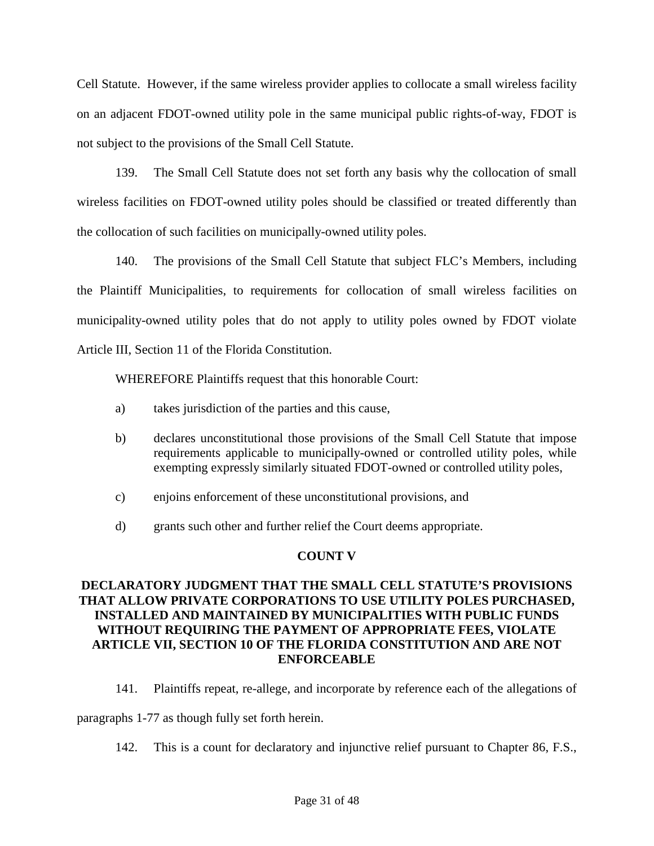Cell Statute. However, if the same wireless provider applies to collocate a small wireless facility on an adjacent FDOT-owned utility pole in the same municipal public rights-of-way, FDOT is not subject to the provisions of the Small Cell Statute.

139. The Small Cell Statute does not set forth any basis why the collocation of small wireless facilities on FDOT-owned utility poles should be classified or treated differently than the collocation of such facilities on municipally-owned utility poles.

140. The provisions of the Small Cell Statute that subject FLC's Members, including the Plaintiff Municipalities, to requirements for collocation of small wireless facilities on municipality-owned utility poles that do not apply to utility poles owned by FDOT violate Article III, Section 11 of the Florida Constitution.

WHEREFORE Plaintiffs request that this honorable Court:

- a) takes jurisdiction of the parties and this cause,
- b) declares unconstitutional those provisions of the Small Cell Statute that impose requirements applicable to municipally-owned or controlled utility poles, while exempting expressly similarly situated FDOT-owned or controlled utility poles,
- c) enjoins enforcement of these unconstitutional provisions, and
- d) grants such other and further relief the Court deems appropriate.

# **COUNT V**

# **DECLARATORY JUDGMENT THAT THE SMALL CELL STATUTE'S PROVISIONS THAT ALLOW PRIVATE CORPORATIONS TO USE UTILITY POLES PURCHASED, INSTALLED AND MAINTAINED BY MUNICIPALITIES WITH PUBLIC FUNDS WITHOUT REQUIRING THE PAYMENT OF APPROPRIATE FEES, VIOLATE ARTICLE VII, SECTION 10 OF THE FLORIDA CONSTITUTION AND ARE NOT ENFORCEABLE**

141. Plaintiffs repeat, re-allege, and incorporate by reference each of the allegations of

paragraphs 1-77 as though fully set forth herein.

142. This is a count for declaratory and injunctive relief pursuant to Chapter 86, F.S.,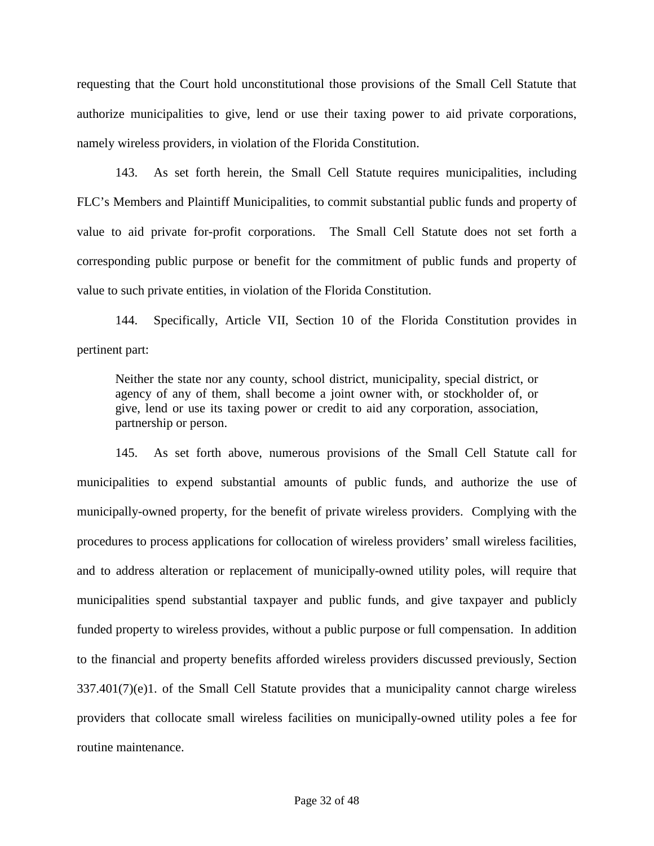requesting that the Court hold unconstitutional those provisions of the Small Cell Statute that authorize municipalities to give, lend or use their taxing power to aid private corporations, namely wireless providers, in violation of the Florida Constitution.

143. As set forth herein, the Small Cell Statute requires municipalities, including FLC's Members and Plaintiff Municipalities, to commit substantial public funds and property of value to aid private for-profit corporations. The Small Cell Statute does not set forth a corresponding public purpose or benefit for the commitment of public funds and property of value to such private entities, in violation of the Florida Constitution.

144. Specifically, Article VII, Section 10 of the Florida Constitution provides in pertinent part:

Neither the state nor any county, school district, municipality, special district, or agency of any of them, shall become a joint owner with, or stockholder of, or give, lend or use its taxing power or credit to aid any corporation, association, partnership or person.

145. As set forth above, numerous provisions of the Small Cell Statute call for municipalities to expend substantial amounts of public funds, and authorize the use of municipally-owned property, for the benefit of private wireless providers. Complying with the procedures to process applications for collocation of wireless providers' small wireless facilities, and to address alteration or replacement of municipally-owned utility poles, will require that municipalities spend substantial taxpayer and public funds, and give taxpayer and publicly funded property to wireless provides, without a public purpose or full compensation. In addition to the financial and property benefits afforded wireless providers discussed previously, Section  $337.401(7)(e)1$ . of the Small Cell Statute provides that a municipality cannot charge wireless providers that collocate small wireless facilities on municipally-owned utility poles a fee for routine maintenance.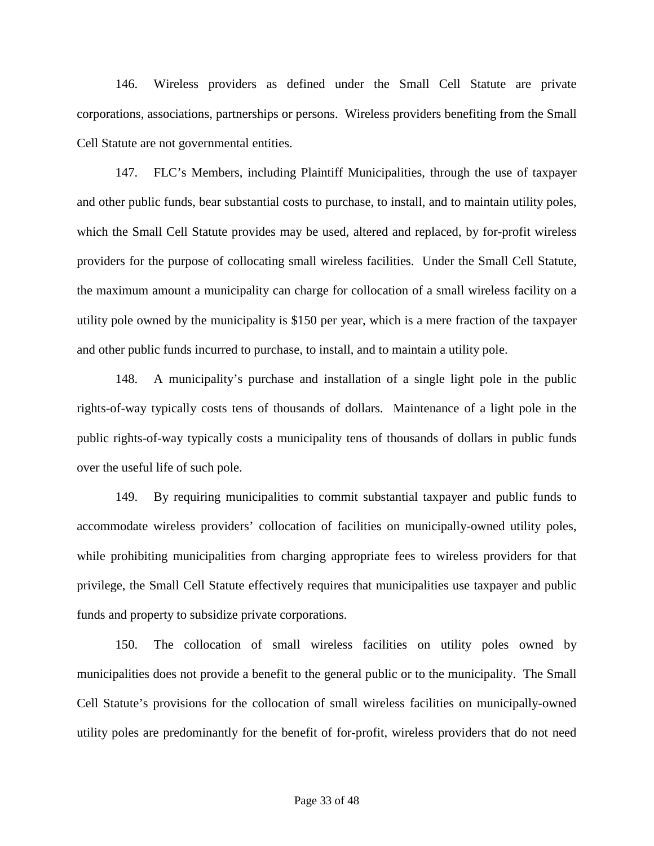146. Wireless providers as defined under the Small Cell Statute are private corporations, associations, partnerships or persons. Wireless providers benefiting from the Small Cell Statute are not governmental entities.

147. FLC's Members, including Plaintiff Municipalities, through the use of taxpayer and other public funds, bear substantial costs to purchase, to install, and to maintain utility poles, which the Small Cell Statute provides may be used, altered and replaced, by for-profit wireless providers for the purpose of collocating small wireless facilities. Under the Small Cell Statute, the maximum amount a municipality can charge for collocation of a small wireless facility on a utility pole owned by the municipality is \$150 per year, which is a mere fraction of the taxpayer and other public funds incurred to purchase, to install, and to maintain a utility pole.

148. A municipality's purchase and installation of a single light pole in the public rights-of-way typically costs tens of thousands of dollars. Maintenance of a light pole in the public rights-of-way typically costs a municipality tens of thousands of dollars in public funds over the useful life of such pole.

149. By requiring municipalities to commit substantial taxpayer and public funds to accommodate wireless providers' collocation of facilities on municipally-owned utility poles, while prohibiting municipalities from charging appropriate fees to wireless providers for that privilege, the Small Cell Statute effectively requires that municipalities use taxpayer and public funds and property to subsidize private corporations.

150. The collocation of small wireless facilities on utility poles owned by municipalities does not provide a benefit to the general public or to the municipality. The Small Cell Statute's provisions for the collocation of small wireless facilities on municipally-owned utility poles are predominantly for the benefit of for-profit, wireless providers that do not need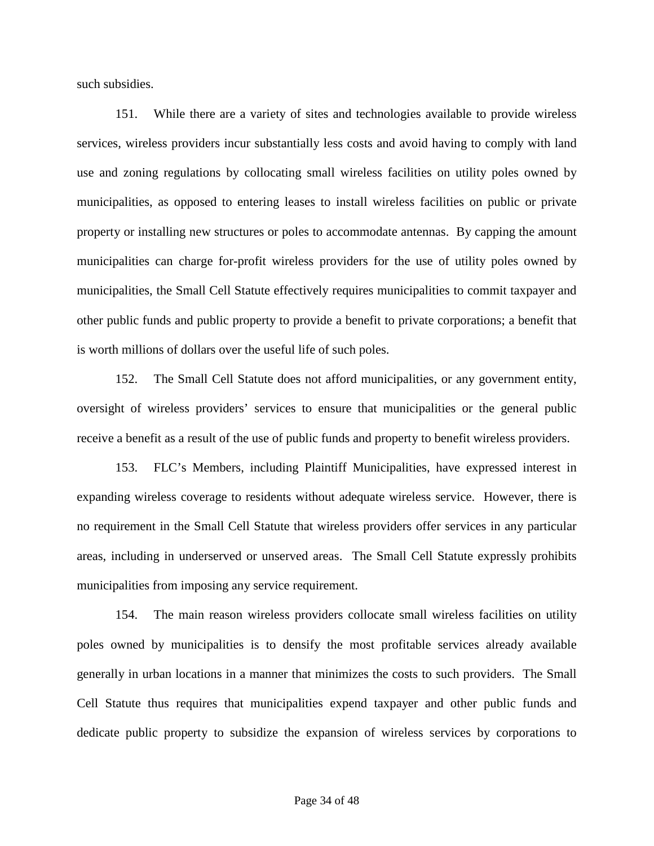such subsidies.

151. While there are a variety of sites and technologies available to provide wireless services, wireless providers incur substantially less costs and avoid having to comply with land use and zoning regulations by collocating small wireless facilities on utility poles owned by municipalities, as opposed to entering leases to install wireless facilities on public or private property or installing new structures or poles to accommodate antennas. By capping the amount municipalities can charge for-profit wireless providers for the use of utility poles owned by municipalities, the Small Cell Statute effectively requires municipalities to commit taxpayer and other public funds and public property to provide a benefit to private corporations; a benefit that is worth millions of dollars over the useful life of such poles.

152. The Small Cell Statute does not afford municipalities, or any government entity, oversight of wireless providers' services to ensure that municipalities or the general public receive a benefit as a result of the use of public funds and property to benefit wireless providers.

153. FLC's Members, including Plaintiff Municipalities, have expressed interest in expanding wireless coverage to residents without adequate wireless service. However, there is no requirement in the Small Cell Statute that wireless providers offer services in any particular areas, including in underserved or unserved areas. The Small Cell Statute expressly prohibits municipalities from imposing any service requirement.

154. The main reason wireless providers collocate small wireless facilities on utility poles owned by municipalities is to densify the most profitable services already available generally in urban locations in a manner that minimizes the costs to such providers. The Small Cell Statute thus requires that municipalities expend taxpayer and other public funds and dedicate public property to subsidize the expansion of wireless services by corporations to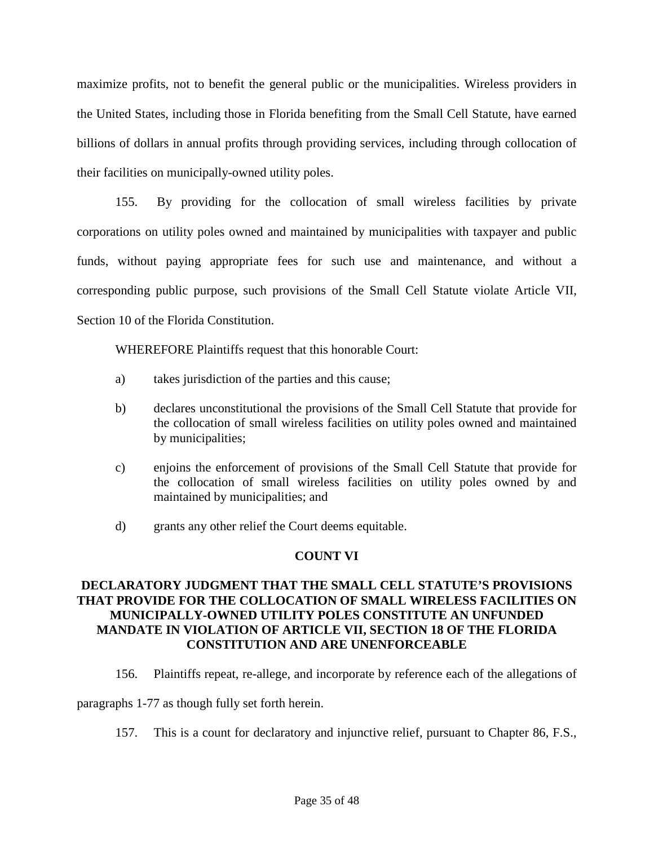maximize profits, not to benefit the general public or the municipalities. Wireless providers in the United States, including those in Florida benefiting from the Small Cell Statute, have earned billions of dollars in annual profits through providing services, including through collocation of their facilities on municipally-owned utility poles.

155. By providing for the collocation of small wireless facilities by private corporations on utility poles owned and maintained by municipalities with taxpayer and public funds, without paying appropriate fees for such use and maintenance, and without a corresponding public purpose, such provisions of the Small Cell Statute violate Article VII, Section 10 of the Florida Constitution.

WHEREFORE Plaintiffs request that this honorable Court:

- a) takes jurisdiction of the parties and this cause;
- b) declares unconstitutional the provisions of the Small Cell Statute that provide for the collocation of small wireless facilities on utility poles owned and maintained by municipalities;
- c) enjoins the enforcement of provisions of the Small Cell Statute that provide for the collocation of small wireless facilities on utility poles owned by and maintained by municipalities; and
- d) grants any other relief the Court deems equitable.

# **COUNT VI**

# **DECLARATORY JUDGMENT THAT THE SMALL CELL STATUTE'S PROVISIONS THAT PROVIDE FOR THE COLLOCATION OF SMALL WIRELESS FACILITIES ON MUNICIPALLY-OWNED UTILITY POLES CONSTITUTE AN UNFUNDED MANDATE IN VIOLATION OF ARTICLE VII, SECTION 18 OF THE FLORIDA CONSTITUTION AND ARE UNENFORCEABLE**

156. Plaintiffs repeat, re-allege, and incorporate by reference each of the allegations of

paragraphs 1-77 as though fully set forth herein.

157. This is a count for declaratory and injunctive relief, pursuant to Chapter 86, F.S.,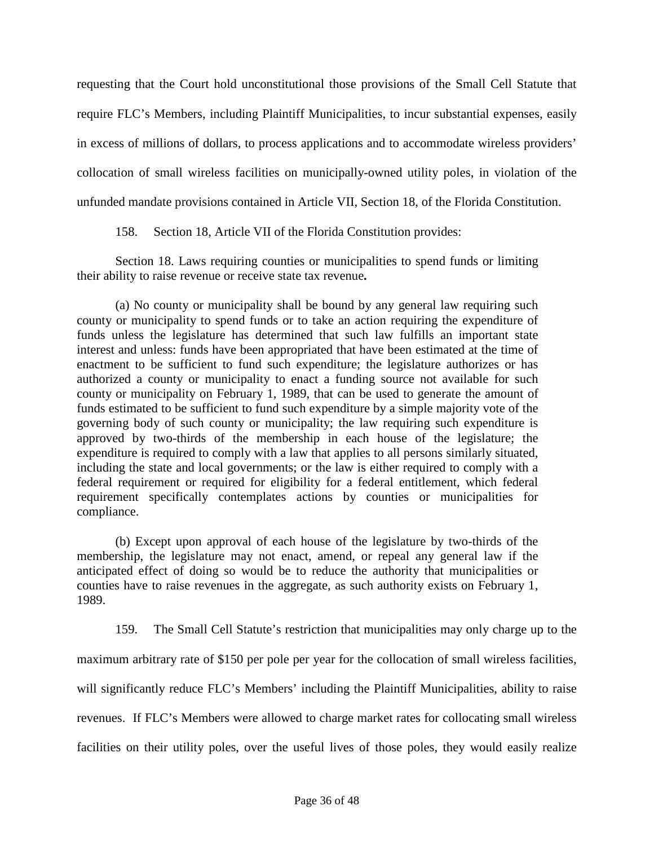requesting that the Court hold unconstitutional those provisions of the Small Cell Statute that require FLC's Members, including Plaintiff Municipalities, to incur substantial expenses, easily in excess of millions of dollars, to process applications and to accommodate wireless providers' collocation of small wireless facilities on municipally-owned utility poles, in violation of the unfunded mandate provisions contained in Article VII, Section 18, of the Florida Constitution.

158. Section 18, Article VII of the Florida Constitution provides:

Section 18. Laws requiring counties or municipalities to spend funds or limiting their ability to raise revenue or receive state tax revenue**.** 

(a) No county or municipality shall be bound by any general law requiring such county or municipality to spend funds or to take an action requiring the expenditure of funds unless the legislature has determined that such law fulfills an important state interest and unless: funds have been appropriated that have been estimated at the time of enactment to be sufficient to fund such expenditure; the legislature authorizes or has authorized a county or municipality to enact a funding source not available for such county or municipality on February 1, 1989, that can be used to generate the amount of funds estimated to be sufficient to fund such expenditure by a simple majority vote of the governing body of such county or municipality; the law requiring such expenditure is approved by two-thirds of the membership in each house of the legislature; the expenditure is required to comply with a law that applies to all persons similarly situated, including the state and local governments; or the law is either required to comply with a federal requirement or required for eligibility for a federal entitlement, which federal requirement specifically contemplates actions by counties or municipalities for compliance.

(b) Except upon approval of each house of the legislature by two-thirds of the membership, the legislature may not enact, amend, or repeal any general law if the anticipated effect of doing so would be to reduce the authority that municipalities or counties have to raise revenues in the aggregate, as such authority exists on February 1, 1989.

159. The Small Cell Statute's restriction that municipalities may only charge up to the maximum arbitrary rate of \$150 per pole per year for the collocation of small wireless facilities, will significantly reduce FLC's Members' including the Plaintiff Municipalities, ability to raise revenues. If FLC's Members were allowed to charge market rates for collocating small wireless facilities on their utility poles, over the useful lives of those poles, they would easily realize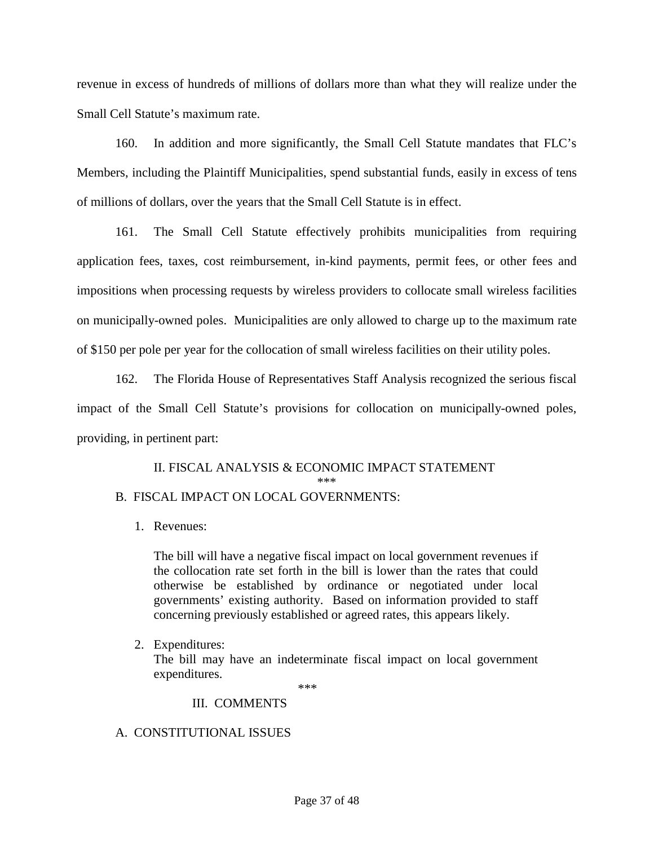revenue in excess of hundreds of millions of dollars more than what they will realize under the Small Cell Statute's maximum rate.

160. In addition and more significantly, the Small Cell Statute mandates that FLC's Members, including the Plaintiff Municipalities, spend substantial funds, easily in excess of tens of millions of dollars, over the years that the Small Cell Statute is in effect.

161. The Small Cell Statute effectively prohibits municipalities from requiring application fees, taxes, cost reimbursement, in-kind payments, permit fees, or other fees and impositions when processing requests by wireless providers to collocate small wireless facilities on municipally-owned poles. Municipalities are only allowed to charge up to the maximum rate of \$150 per pole per year for the collocation of small wireless facilities on their utility poles.

162. The Florida House of Representatives Staff Analysis recognized the serious fiscal impact of the Small Cell Statute's provisions for collocation on municipally-owned poles, providing, in pertinent part:

II. FISCAL ANALYSIS & ECONOMIC IMPACT STATEMENT \*\*\*

# B. FISCAL IMPACT ON LOCAL GOVERNMENTS:

1. Revenues:

The bill will have a negative fiscal impact on local government revenues if the collocation rate set forth in the bill is lower than the rates that could otherwise be established by ordinance or negotiated under local governments' existing authority. Based on information provided to staff concerning previously established or agreed rates, this appears likely.

2. Expenditures:

The bill may have an indeterminate fiscal impact on local government expenditures.

\*\*\*

# III. COMMENTS

# A. CONSTITUTIONAL ISSUES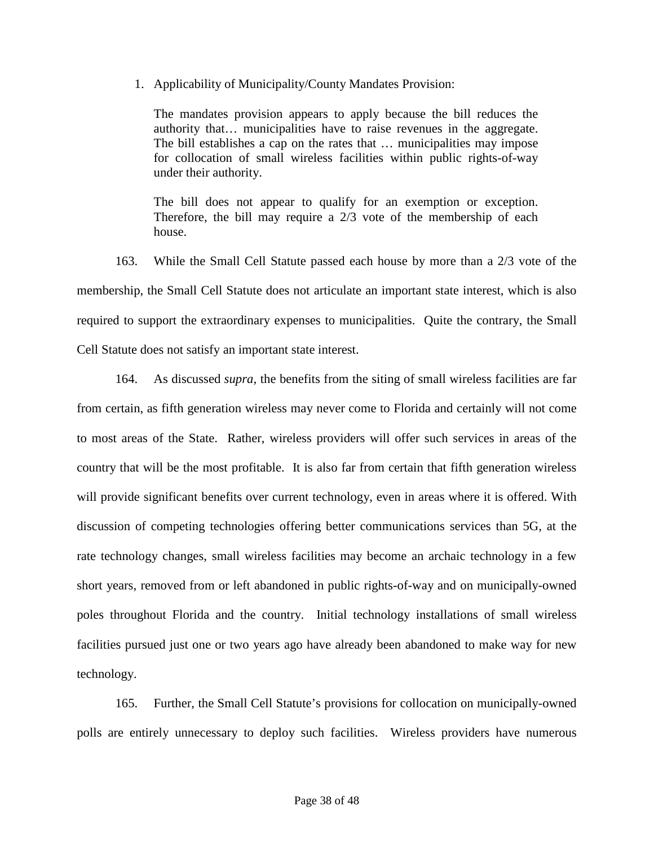1. Applicability of Municipality/County Mandates Provision:

The mandates provision appears to apply because the bill reduces the authority that… municipalities have to raise revenues in the aggregate. The bill establishes a cap on the rates that … municipalities may impose for collocation of small wireless facilities within public rights-of-way under their authority.

The bill does not appear to qualify for an exemption or exception. Therefore, the bill may require a 2/3 vote of the membership of each house.

163. While the Small Cell Statute passed each house by more than a 2/3 vote of the membership, the Small Cell Statute does not articulate an important state interest, which is also required to support the extraordinary expenses to municipalities. Quite the contrary, the Small Cell Statute does not satisfy an important state interest.

164. As discussed *supra*, the benefits from the siting of small wireless facilities are far from certain, as fifth generation wireless may never come to Florida and certainly will not come to most areas of the State. Rather, wireless providers will offer such services in areas of the country that will be the most profitable. It is also far from certain that fifth generation wireless will provide significant benefits over current technology, even in areas where it is offered. With discussion of competing technologies offering better communications services than 5G, at the rate technology changes, small wireless facilities may become an archaic technology in a few short years, removed from or left abandoned in public rights-of-way and on municipally-owned poles throughout Florida and the country. Initial technology installations of small wireless facilities pursued just one or two years ago have already been abandoned to make way for new technology.

165. Further, the Small Cell Statute's provisions for collocation on municipally-owned polls are entirely unnecessary to deploy such facilities. Wireless providers have numerous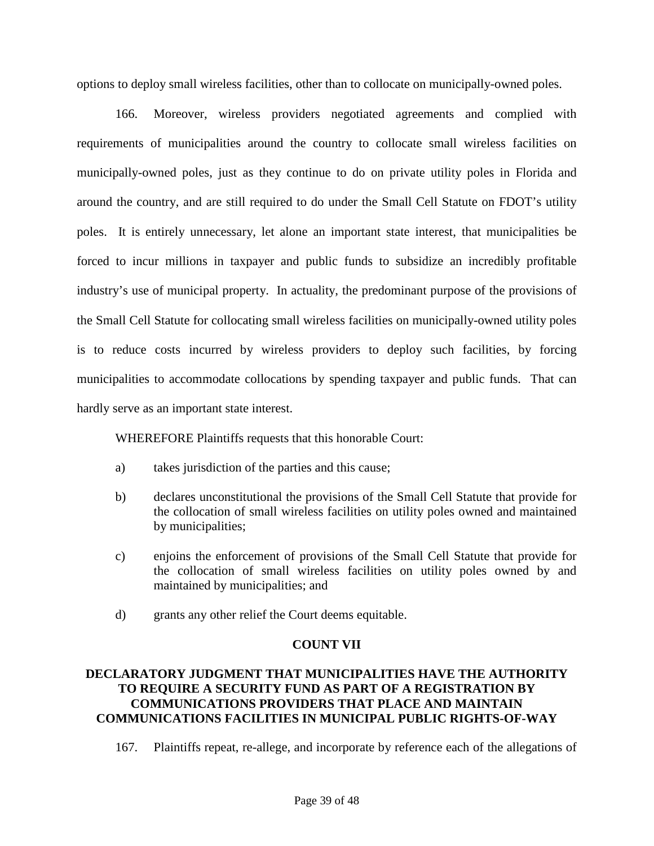options to deploy small wireless facilities, other than to collocate on municipally-owned poles.

166. Moreover, wireless providers negotiated agreements and complied with requirements of municipalities around the country to collocate small wireless facilities on municipally-owned poles, just as they continue to do on private utility poles in Florida and around the country, and are still required to do under the Small Cell Statute on FDOT's utility poles. It is entirely unnecessary, let alone an important state interest, that municipalities be forced to incur millions in taxpayer and public funds to subsidize an incredibly profitable industry's use of municipal property. In actuality, the predominant purpose of the provisions of the Small Cell Statute for collocating small wireless facilities on municipally-owned utility poles is to reduce costs incurred by wireless providers to deploy such facilities, by forcing municipalities to accommodate collocations by spending taxpayer and public funds. That can hardly serve as an important state interest.

WHEREFORE Plaintiffs requests that this honorable Court:

- a) takes jurisdiction of the parties and this cause;
- b) declares unconstitutional the provisions of the Small Cell Statute that provide for the collocation of small wireless facilities on utility poles owned and maintained by municipalities;
- c) enjoins the enforcement of provisions of the Small Cell Statute that provide for the collocation of small wireless facilities on utility poles owned by and maintained by municipalities; and
- d) grants any other relief the Court deems equitable.

#### **COUNT VII**

# **DECLARATORY JUDGMENT THAT MUNICIPALITIES HAVE THE AUTHORITY TO REQUIRE A SECURITY FUND AS PART OF A REGISTRATION BY COMMUNICATIONS PROVIDERS THAT PLACE AND MAINTAIN COMMUNICATIONS FACILITIES IN MUNICIPAL PUBLIC RIGHTS-OF-WAY**

167. Plaintiffs repeat, re-allege, and incorporate by reference each of the allegations of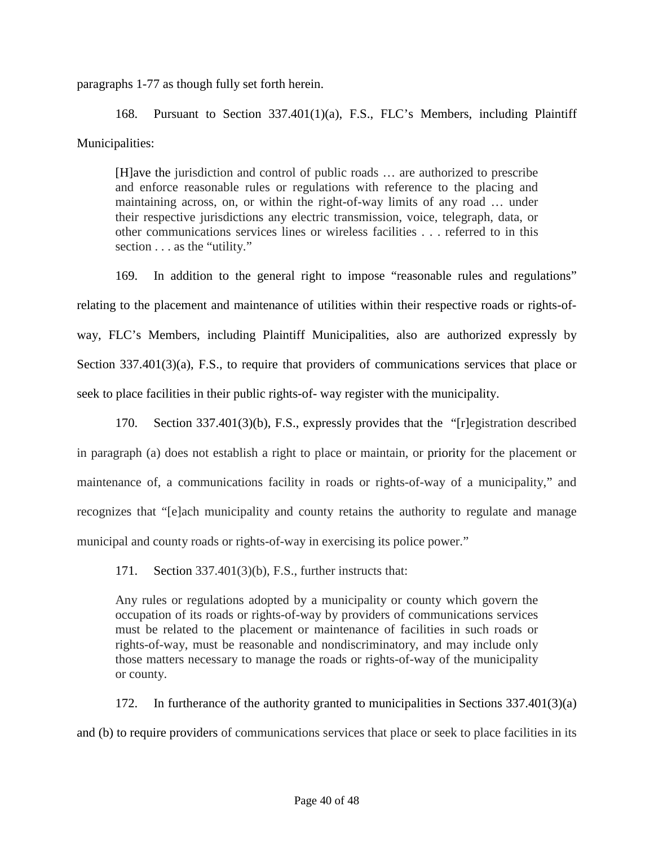paragraphs 1-77 as though fully set forth herein.

168. Pursuant to Section 337.401(1)(a), F.S., FLC's Members, including Plaintiff Municipalities:

[H]ave the jurisdiction and control of public roads … are authorized to prescribe and enforce reasonable rules or regulations with reference to the placing and maintaining across, on, or within the right-of-way limits of any road … under their respective jurisdictions any electric transmission, voice, telegraph, data, or other communications services lines or wireless facilities . . . referred to in this section . . . as the "utility."

169. In addition to the general right to impose "reasonable rules and regulations" relating to the placement and maintenance of utilities within their respective roads or rights-ofway, FLC's Members, including Plaintiff Municipalities, also are authorized expressly by Section 337.401(3)(a), F.S., to require that providers of communications services that place or seek to place facilities in their public rights-of- way register with the municipality.

170. Section 337.401(3)(b), F.S., expressly provides that the "[r]egistration described in paragraph (a) does not establish a right to place or maintain, or priority for the placement or maintenance of, a communications facility in roads or rights-of-way of a municipality," and recognizes that "[e]ach municipality and county retains the authority to regulate and manage municipal and county roads or rights-of-way in exercising its police power."

171. Section 337.401(3)(b), F.S., further instructs that:

Any rules or regulations adopted by a municipality or county which govern the occupation of its roads or rights-of-way by providers of communications services must be related to the placement or maintenance of facilities in such roads or rights-of-way, must be reasonable and nondiscriminatory, and may include only those matters necessary to manage the roads or rights-of-way of the municipality or county.

172. In furtherance of the authority granted to municipalities in Sections 337.401(3)(a) and (b) to require providers of communications services that place or seek to place facilities in its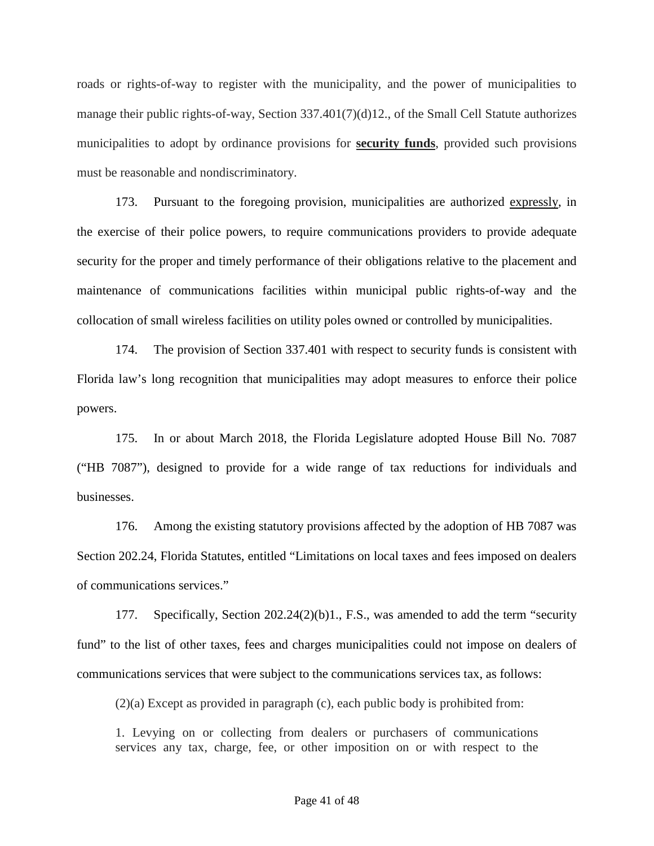roads or rights-of-way to register with the municipality, and the power of municipalities to manage their public rights-of-way, Section 337.401(7)(d)12., of the Small Cell Statute authorizes municipalities to adopt by ordinance provisions for **security funds**, provided such provisions must be reasonable and nondiscriminatory.

173. Pursuant to the foregoing provision, municipalities are authorized expressly, in the exercise of their police powers, to require communications providers to provide adequate security for the proper and timely performance of their obligations relative to the placement and maintenance of communications facilities within municipal public rights-of-way and the collocation of small wireless facilities on utility poles owned or controlled by municipalities.

174. The provision of Section 337.401 with respect to security funds is consistent with Florida law's long recognition that municipalities may adopt measures to enforce their police powers.

175. In or about March 2018, the Florida Legislature adopted House Bill No. 7087 ("HB 7087"), designed to provide for a wide range of tax reductions for individuals and businesses.

176. Among the existing statutory provisions affected by the adoption of HB 7087 was Section 202.24, Florida Statutes, entitled "Limitations on local taxes and fees imposed on dealers of communications services."

177. Specifically, Section 202.24(2)(b)1., F.S., was amended to add the term "security fund" to the list of other taxes, fees and charges municipalities could not impose on dealers of communications services that were subject to the communications services tax, as follows:

(2)(a) Except as provided in paragraph (c), each public body is prohibited from:

1. Levying on or collecting from dealers or purchasers of communications services any tax, charge, fee, or other imposition on or with respect to the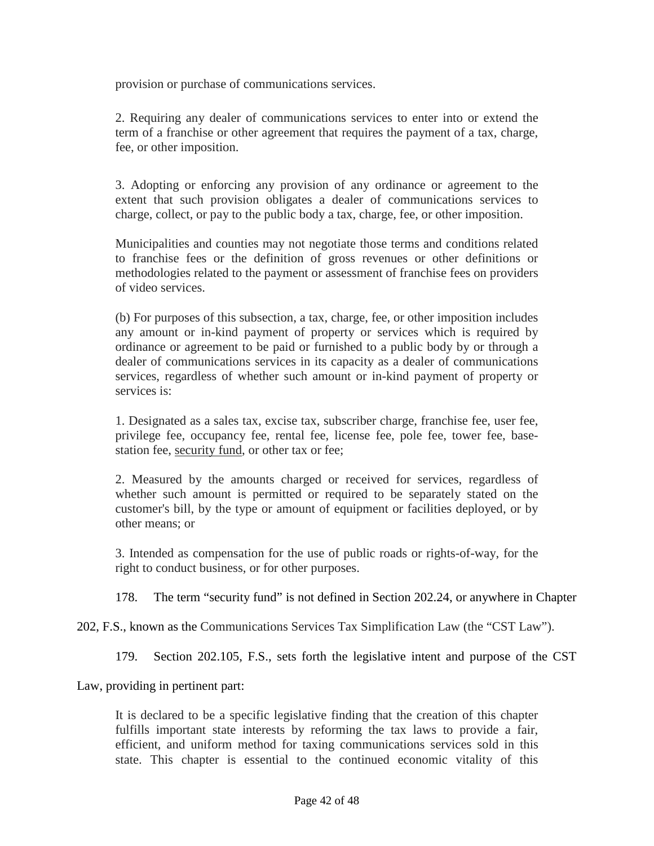provision or purchase of communications services.

2. Requiring any dealer of communications services to enter into or extend the term of a franchise or other agreement that requires the payment of a tax, charge, fee, or other imposition.

3. Adopting or enforcing any provision of any ordinance or agreement to the extent that such provision obligates a dealer of communications services to charge, collect, or pay to the public body a tax, charge, fee, or other imposition.

Municipalities and counties may not negotiate those terms and conditions related to franchise fees or the definition of gross revenues or other definitions or methodologies related to the payment or assessment of franchise fees on providers of video services.

(b) For purposes of this subsection, a tax, charge, fee, or other imposition includes any amount or in-kind payment of property or services which is required by ordinance or agreement to be paid or furnished to a public body by or through a dealer of communications services in its capacity as a dealer of communications services, regardless of whether such amount or in-kind payment of property or services is:

1. Designated as a sales tax, excise tax, subscriber charge, franchise fee, user fee, privilege fee, occupancy fee, rental fee, license fee, pole fee, tower fee, basestation fee, security fund, or other tax or fee;

2. Measured by the amounts charged or received for services, regardless of whether such amount is permitted or required to be separately stated on the customer's bill, by the type or amount of equipment or facilities deployed, or by other means; or

3. Intended as compensation for the use of public roads or rights-of-way, for the right to conduct business, or for other purposes.

178. The term "security fund" is not defined in Section 202.24, or anywhere in Chapter

202, F.S., known as the Communications Services Tax Simplification Law (the "CST Law").

179. Section 202.105, F.S., sets forth the legislative intent and purpose of the CST

Law, providing in pertinent part:

It is declared to be a specific legislative finding that the creation of this chapter fulfills important state interests by reforming the tax laws to provide a fair, efficient, and uniform method for taxing communications services sold in this state. This chapter is essential to the continued economic vitality of this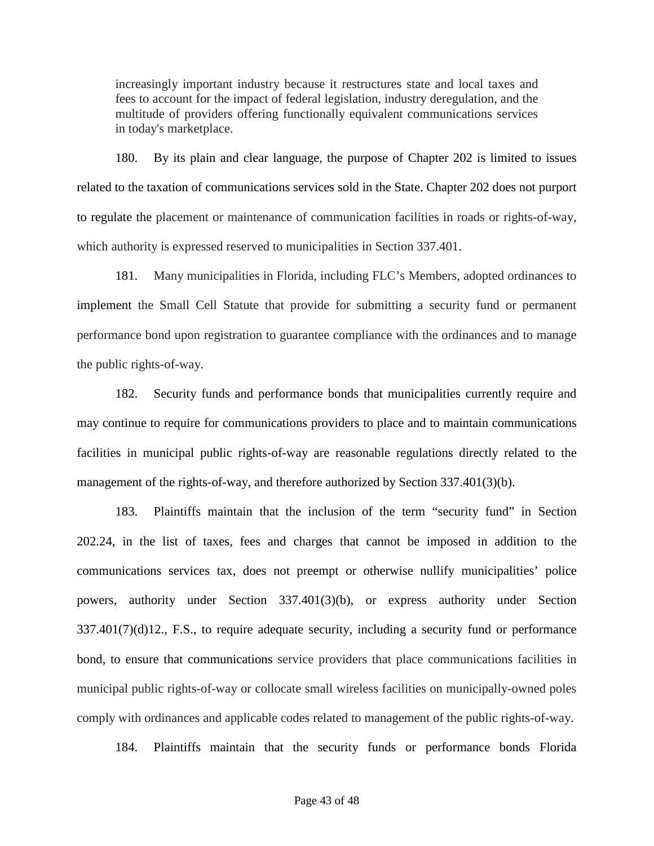increasingly important industry because it restructures state and local taxes and fees to account for the impact of federal legislation, industry deregulation, and the multitude of providers offering functionally equivalent communications services in today's marketplace.

180. By its plain and clear language, the purpose of Chapter 202 is limited to issues related to the taxation of communications services sold in the State. Chapter 202 does not purport to regulate the placement or maintenance of communication facilities in roads or rights-of-way, which authority is expressed reserved to municipalities in Section 337.401.

181. Many municipalities in Florida, including FLC's Members, adopted ordinances to implement the Small Cell Statute that provide for submitting a security fund or permanent performance bond upon registration to guarantee compliance with the ordinances and to manage the public rights-of-way.

182. Security funds and performance bonds that municipalities currently require and may continue to require for communications providers to place and to maintain communications facilities in municipal public rights-of-way are reasonable regulations directly related to the management of the rights-of-way, and therefore authorized by Section 337.401(3)(b).

183. Plaintiffs maintain that the inclusion of the term "security fund" in Section 202.24, in the list of taxes, fees and charges that cannot be imposed in addition to the communications services tax, does not preempt or otherwise nullify municipalities' police powers, authority under Section 337.401(3)(b), or express authority under Section 337.401(7)(d)12., F.S., to require adequate security, including a security fund or performance bond, to ensure that communications service providers that place communications facilities in municipal public rights-of-way or collocate small wireless facilities on municipally-owned poles comply with ordinances and applicable codes related to management of the public rights-of-way.

184. Plaintiffs maintain that the security funds or performance bonds Florida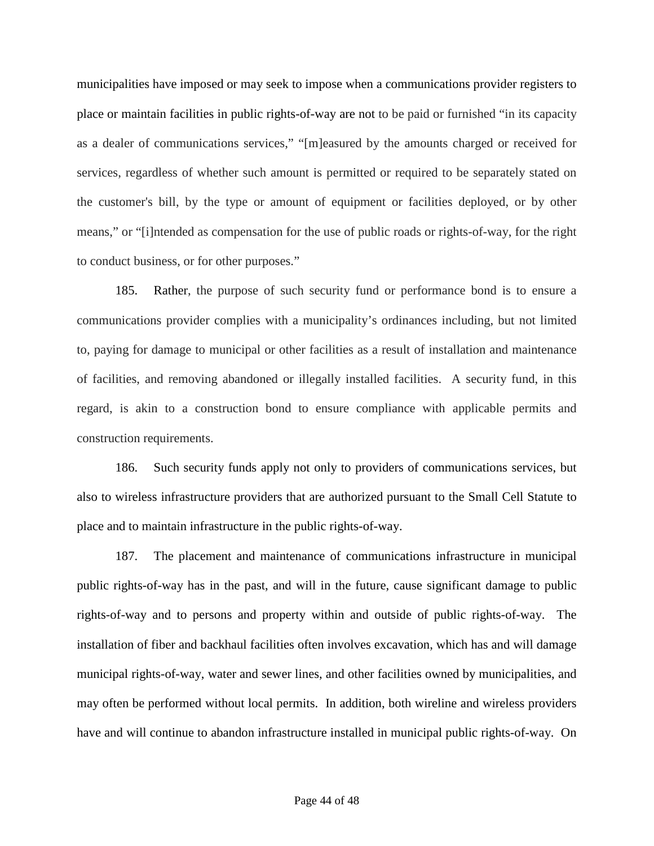municipalities have imposed or may seek to impose when a communications provider registers to place or maintain facilities in public rights-of-way are not to be paid or furnished "in its capacity as a dealer of communications services," "[m]easured by the amounts charged or received for services, regardless of whether such amount is permitted or required to be separately stated on the customer's bill, by the type or amount of equipment or facilities deployed, or by other means," or "[i]ntended as compensation for the use of public roads or rights-of-way, for the right to conduct business, or for other purposes."

185. Rather, the purpose of such security fund or performance bond is to ensure a communications provider complies with a municipality's ordinances including, but not limited to, paying for damage to municipal or other facilities as a result of installation and maintenance of facilities, and removing abandoned or illegally installed facilities. A security fund, in this regard, is akin to a construction bond to ensure compliance with applicable permits and construction requirements.

186. Such security funds apply not only to providers of communications services, but also to wireless infrastructure providers that are authorized pursuant to the Small Cell Statute to place and to maintain infrastructure in the public rights-of-way.

187. The placement and maintenance of communications infrastructure in municipal public rights-of-way has in the past, and will in the future, cause significant damage to public rights-of-way and to persons and property within and outside of public rights-of-way. The installation of fiber and backhaul facilities often involves excavation, which has and will damage municipal rights-of-way, water and sewer lines, and other facilities owned by municipalities, and may often be performed without local permits. In addition, both wireline and wireless providers have and will continue to abandon infrastructure installed in municipal public rights-of-way. On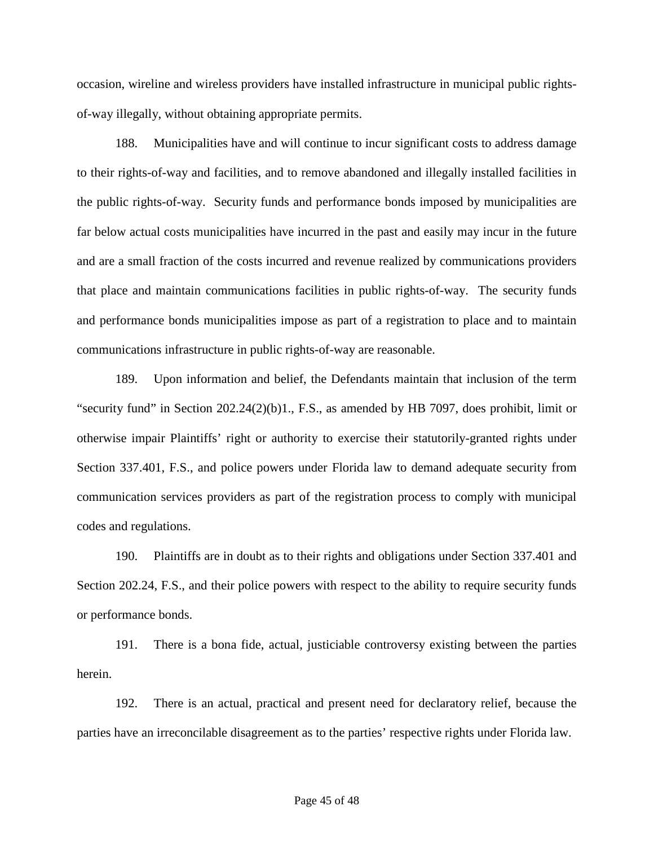occasion, wireline and wireless providers have installed infrastructure in municipal public rightsof-way illegally, without obtaining appropriate permits.

188. Municipalities have and will continue to incur significant costs to address damage to their rights-of-way and facilities, and to remove abandoned and illegally installed facilities in the public rights-of-way. Security funds and performance bonds imposed by municipalities are far below actual costs municipalities have incurred in the past and easily may incur in the future and are a small fraction of the costs incurred and revenue realized by communications providers that place and maintain communications facilities in public rights-of-way. The security funds and performance bonds municipalities impose as part of a registration to place and to maintain communications infrastructure in public rights-of-way are reasonable.

189. Upon information and belief, the Defendants maintain that inclusion of the term "security fund" in Section  $202.24(2)(b)1$ ., F.S., as amended by HB 7097, does prohibit, limit or otherwise impair Plaintiffs' right or authority to exercise their statutorily-granted rights under Section 337.401, F.S., and police powers under Florida law to demand adequate security from communication services providers as part of the registration process to comply with municipal codes and regulations.

190. Plaintiffs are in doubt as to their rights and obligations under Section 337.401 and Section 202.24, F.S., and their police powers with respect to the ability to require security funds or performance bonds.

191. There is a bona fide, actual, justiciable controversy existing between the parties herein.

192. There is an actual, practical and present need for declaratory relief, because the parties have an irreconcilable disagreement as to the parties' respective rights under Florida law.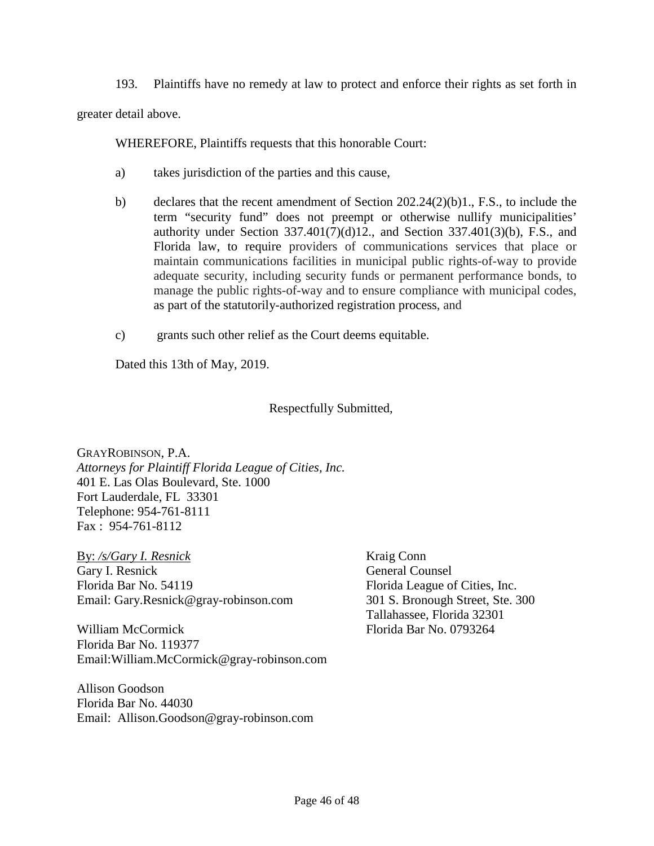193. Plaintiffs have no remedy at law to protect and enforce their rights as set forth in

greater detail above.

WHEREFORE, Plaintiffs requests that this honorable Court:

- a) takes jurisdiction of the parties and this cause,
- b) declares that the recent amendment of Section 202.24(2)(b)1., F.S., to include the term "security fund" does not preempt or otherwise nullify municipalities' authority under Section 337.401(7)(d)12., and Section 337.401(3)(b), F.S., and Florida law, to require providers of communications services that place or maintain communications facilities in municipal public rights-of-way to provide adequate security, including security funds or permanent performance bonds, to manage the public rights-of-way and to ensure compliance with municipal codes, as part of the statutorily-authorized registration process, and
- c) grants such other relief as the Court deems equitable.

Dated this 13th of May, 2019.

Respectfully Submitted,

GRAYROBINSON, P.A. *Attorneys for Plaintiff Florida League of Cities, Inc.*  401 E. Las Olas Boulevard, Ste. 1000 Fort Lauderdale, FL 33301 Telephone: 954-761-8111 Fax : 954-761-8112

By: */s/Gary I. Resnick* Gary I. Resnick Florida Bar No. 54119 Email: Gary.Resnick@gray-robinson.com

William McCormick Florida Bar No. 119377 Email:William.McCormick@gray-robinson.com

Allison Goodson Florida Bar No. 44030 Email: Allison.Goodson@gray-robinson.com Kraig Conn General Counsel Florida League of Cities, Inc. 301 S. Bronough Street, Ste. 300 Tallahassee, Florida 32301 Florida Bar No. 0793264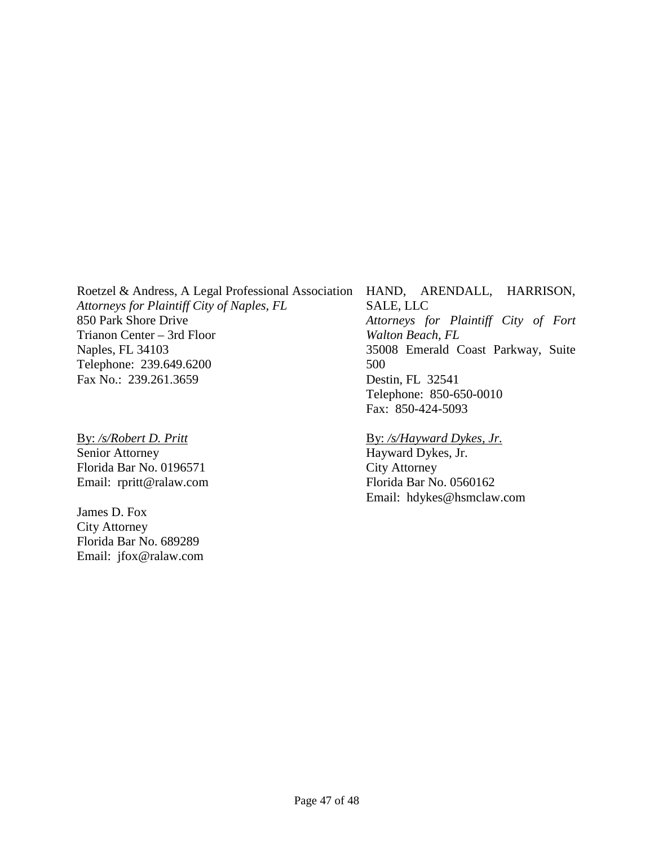Roetzel & Andress, A Legal Professional Association *Attorneys for Plaintiff City of Naples, FL*  850 Park Shore Drive Trianon Center – 3rd Floor Naples, FL 34103 Telephone: 239.649.6200 Fax No.: 239.261.3659

By: */s/Robert D. Pritt*  Senior Attorney Florida Bar No. 0196571 Email: rpritt@ralaw.com

James D. Fox City Attorney Florida Bar No. 689289 Email: jfox@ralaw.com HAND, ARENDALL, HARRISON, SALE, LLC *Attorneys for Plaintiff City of Fort Walton Beach, FL*  35008 Emerald Coast Parkway, Suite 500 Destin, FL 32541 Telephone: 850-650-0010 Fax: 850-424-5093

#### By: */s/Hayward Dykes, Jr.*

Hayward Dykes, Jr. City Attorney Florida Bar No. 0560162 Email: hdykes@hsmclaw.com